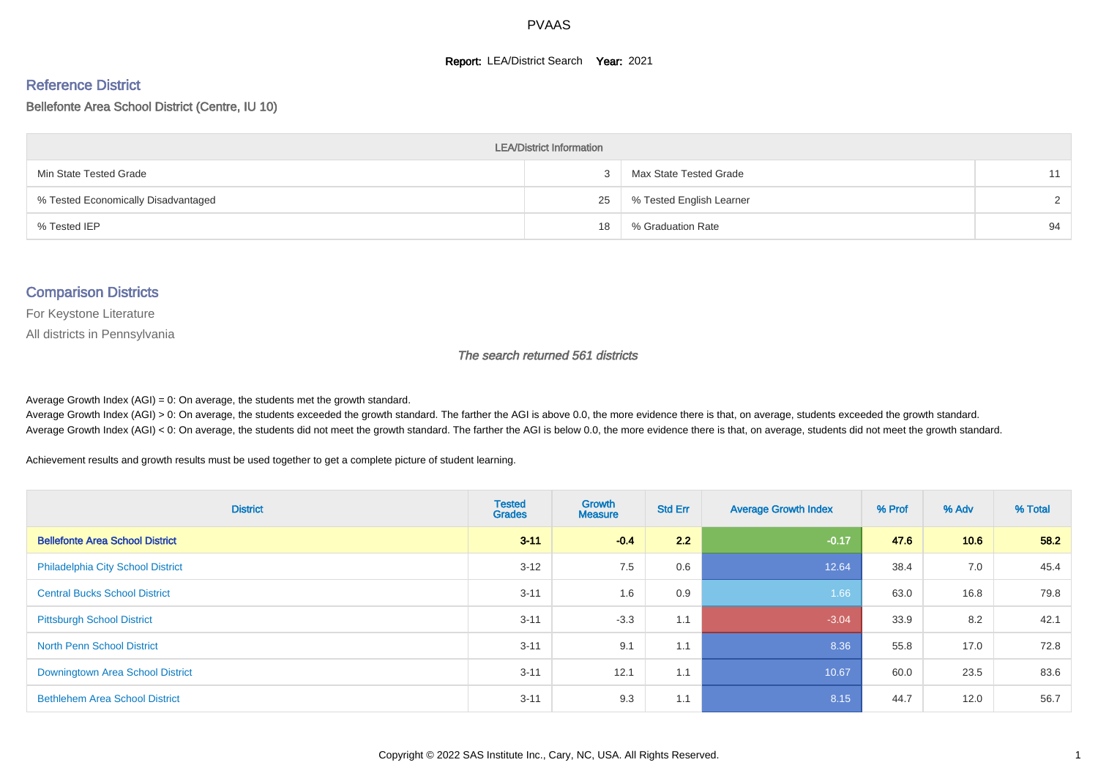#### **Report: LEA/District Search Year: 2021**

#### Reference District

#### Bellefonte Area School District (Centre, IU 10)

| <b>LEA/District Information</b>     |    |                          |        |  |  |  |  |  |  |  |
|-------------------------------------|----|--------------------------|--------|--|--|--|--|--|--|--|
| Min State Tested Grade              |    | Max State Tested Grade   | 11     |  |  |  |  |  |  |  |
| % Tested Economically Disadvantaged | 25 | % Tested English Learner | $\sim$ |  |  |  |  |  |  |  |
| % Tested IEP                        | 18 | % Graduation Rate        | 94     |  |  |  |  |  |  |  |

#### Comparison Districts

For Keystone Literature

All districts in Pennsylvania

The search returned 561 districts

Average Growth Index  $(AGI) = 0$ : On average, the students met the growth standard.

Average Growth Index (AGI) > 0: On average, the students exceeded the growth standard. The farther the AGI is above 0.0, the more evidence there is that, on average, students exceeded the growth standard. Average Growth Index (AGI) < 0: On average, the students did not meet the growth standard. The farther the AGI is below 0.0, the more evidence there is that, on average, students did not meet the growth standard.

Achievement results and growth results must be used together to get a complete picture of student learning.

| <b>District</b>                          | <b>Tested</b><br><b>Grades</b> | <b>Growth</b><br><b>Measure</b> | <b>Std Err</b> | <b>Average Growth Index</b> | % Prof | % Adv | % Total |
|------------------------------------------|--------------------------------|---------------------------------|----------------|-----------------------------|--------|-------|---------|
| <b>Bellefonte Area School District</b>   | $3 - 11$                       | $-0.4$                          | 2.2            | $-0.17$                     | 47.6   | 10.6  | 58.2    |
| <b>Philadelphia City School District</b> | $3 - 12$                       | 7.5                             | 0.6            | 12.64                       | 38.4   | 7.0   | 45.4    |
| <b>Central Bucks School District</b>     | $3 - 11$                       | 1.6                             | 0.9            | 1.66                        | 63.0   | 16.8  | 79.8    |
| <b>Pittsburgh School District</b>        | $3 - 11$                       | $-3.3$                          | 1.1            | $-3.04$                     | 33.9   | 8.2   | 42.1    |
| <b>North Penn School District</b>        | $3 - 11$                       | 9.1                             | 1.1            | 8.36                        | 55.8   | 17.0  | 72.8    |
| Downingtown Area School District         | $3 - 11$                       | 12.1                            | 1.1            | 10.67                       | 60.0   | 23.5  | 83.6    |
| <b>Bethlehem Area School District</b>    | $3 - 11$                       | 9.3                             | 1.1            | 8.15                        | 44.7   | 12.0  | 56.7    |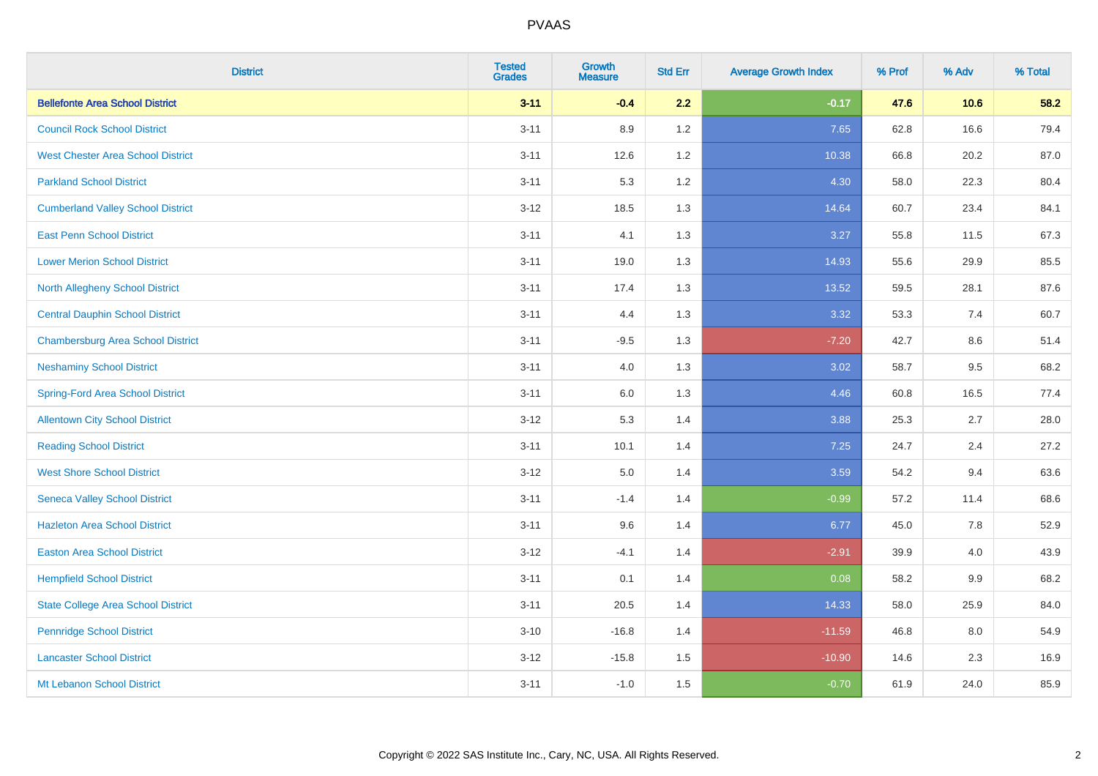| <b>District</b>                           | <b>Tested</b><br><b>Grades</b> | <b>Growth</b><br><b>Measure</b> | <b>Std Err</b> | <b>Average Growth Index</b> | % Prof | % Adv | % Total |
|-------------------------------------------|--------------------------------|---------------------------------|----------------|-----------------------------|--------|-------|---------|
| <b>Bellefonte Area School District</b>    | $3 - 11$                       | $-0.4$                          | 2.2            | $-0.17$                     | 47.6   | 10.6  | 58.2    |
| <b>Council Rock School District</b>       | $3 - 11$                       | 8.9                             | 1.2            | 7.65                        | 62.8   | 16.6  | 79.4    |
| <b>West Chester Area School District</b>  | $3 - 11$                       | 12.6                            | 1.2            | 10.38                       | 66.8   | 20.2  | 87.0    |
| <b>Parkland School District</b>           | $3 - 11$                       | 5.3                             | 1.2            | 4.30                        | 58.0   | 22.3  | 80.4    |
| <b>Cumberland Valley School District</b>  | $3 - 12$                       | 18.5                            | 1.3            | 14.64                       | 60.7   | 23.4  | 84.1    |
| <b>East Penn School District</b>          | $3 - 11$                       | 4.1                             | 1.3            | 3.27                        | 55.8   | 11.5  | 67.3    |
| <b>Lower Merion School District</b>       | $3 - 11$                       | 19.0                            | 1.3            | 14.93                       | 55.6   | 29.9  | 85.5    |
| <b>North Allegheny School District</b>    | $3 - 11$                       | 17.4                            | 1.3            | 13.52                       | 59.5   | 28.1  | 87.6    |
| <b>Central Dauphin School District</b>    | $3 - 11$                       | 4.4                             | 1.3            | 3.32                        | 53.3   | 7.4   | 60.7    |
| <b>Chambersburg Area School District</b>  | $3 - 11$                       | $-9.5$                          | 1.3            | $-7.20$                     | 42.7   | 8.6   | 51.4    |
| <b>Neshaminy School District</b>          | $3 - 11$                       | 4.0                             | 1.3            | 3.02                        | 58.7   | 9.5   | 68.2    |
| <b>Spring-Ford Area School District</b>   | $3 - 11$                       | $6.0\,$                         | 1.3            | 4.46                        | 60.8   | 16.5  | 77.4    |
| <b>Allentown City School District</b>     | $3 - 12$                       | 5.3                             | 1.4            | 3.88                        | 25.3   | 2.7   | 28.0    |
| <b>Reading School District</b>            | $3 - 11$                       | 10.1                            | 1.4            | 7.25                        | 24.7   | 2.4   | 27.2    |
| <b>West Shore School District</b>         | $3 - 12$                       | $5.0\,$                         | 1.4            | 3.59                        | 54.2   | 9.4   | 63.6    |
| <b>Seneca Valley School District</b>      | $3 - 11$                       | $-1.4$                          | 1.4            | $-0.99$                     | 57.2   | 11.4  | 68.6    |
| <b>Hazleton Area School District</b>      | $3 - 11$                       | 9.6                             | 1.4            | 6.77                        | 45.0   | 7.8   | 52.9    |
| <b>Easton Area School District</b>        | $3 - 12$                       | $-4.1$                          | 1.4            | $-2.91$                     | 39.9   | 4.0   | 43.9    |
| <b>Hempfield School District</b>          | $3 - 11$                       | 0.1                             | 1.4            | 0.08                        | 58.2   | 9.9   | 68.2    |
| <b>State College Area School District</b> | $3 - 11$                       | 20.5                            | 1.4            | 14.33                       | 58.0   | 25.9  | 84.0    |
| <b>Pennridge School District</b>          | $3 - 10$                       | $-16.8$                         | 1.4            | $-11.59$                    | 46.8   | 8.0   | 54.9    |
| <b>Lancaster School District</b>          | $3 - 12$                       | $-15.8$                         | 1.5            | $-10.90$                    | 14.6   | 2.3   | 16.9    |
| Mt Lebanon School District                | $3 - 11$                       | $-1.0$                          | 1.5            | $-0.70$                     | 61.9   | 24.0  | 85.9    |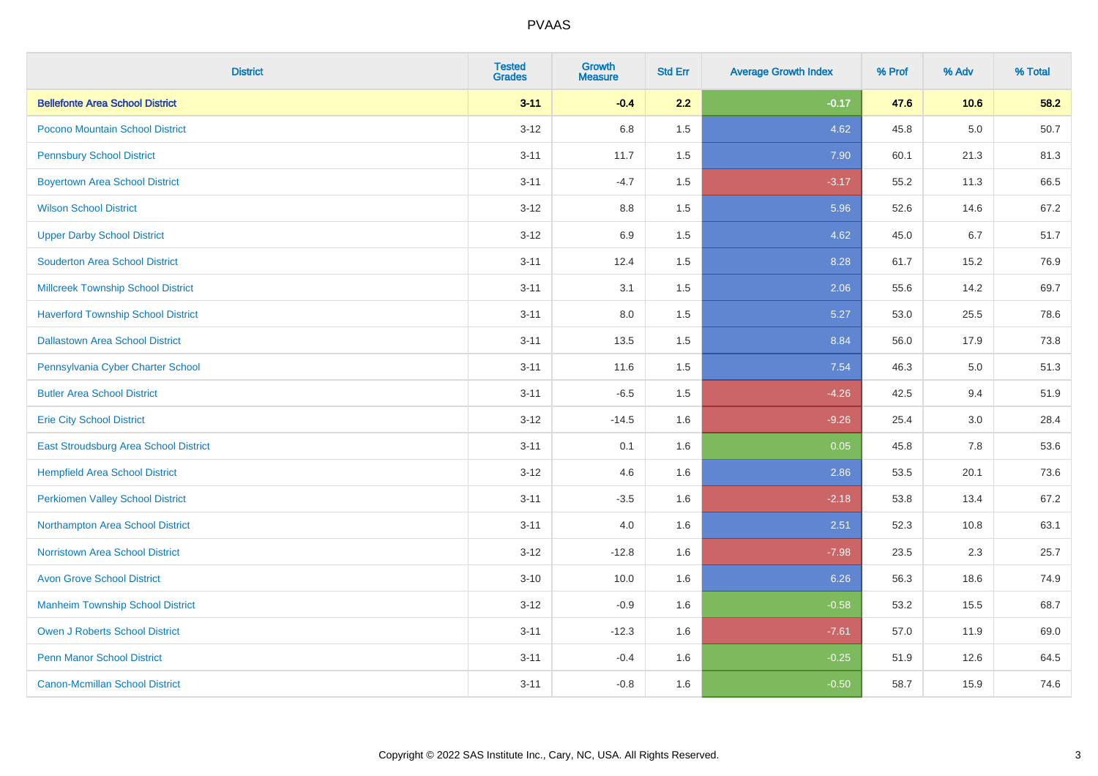| <b>District</b>                           | <b>Tested</b><br><b>Grades</b> | <b>Growth</b><br><b>Measure</b> | <b>Std Err</b> | <b>Average Growth Index</b> | % Prof | % Adv   | % Total |
|-------------------------------------------|--------------------------------|---------------------------------|----------------|-----------------------------|--------|---------|---------|
| <b>Bellefonte Area School District</b>    | $3 - 11$                       | $-0.4$                          | 2.2            | $-0.17$                     | 47.6   | 10.6    | 58.2    |
| Pocono Mountain School District           | $3 - 12$                       | 6.8                             | 1.5            | 4.62                        | 45.8   | $5.0\,$ | 50.7    |
| <b>Pennsbury School District</b>          | $3 - 11$                       | 11.7                            | 1.5            | 7.90                        | 60.1   | 21.3    | 81.3    |
| <b>Boyertown Area School District</b>     | $3 - 11$                       | $-4.7$                          | 1.5            | $-3.17$                     | 55.2   | 11.3    | 66.5    |
| <b>Wilson School District</b>             | $3-12$                         | 8.8                             | 1.5            | 5.96                        | 52.6   | 14.6    | 67.2    |
| <b>Upper Darby School District</b>        | $3 - 12$                       | 6.9                             | 1.5            | 4.62                        | 45.0   | 6.7     | 51.7    |
| <b>Souderton Area School District</b>     | $3 - 11$                       | 12.4                            | 1.5            | 8.28                        | 61.7   | 15.2    | 76.9    |
| <b>Millcreek Township School District</b> | $3 - 11$                       | 3.1                             | 1.5            | 2.06                        | 55.6   | 14.2    | 69.7    |
| <b>Haverford Township School District</b> | $3 - 11$                       | 8.0                             | 1.5            | 5.27                        | 53.0   | 25.5    | 78.6    |
| <b>Dallastown Area School District</b>    | $3 - 11$                       | 13.5                            | 1.5            | 8.84                        | 56.0   | 17.9    | 73.8    |
| Pennsylvania Cyber Charter School         | $3 - 11$                       | 11.6                            | 1.5            | 7.54                        | 46.3   | 5.0     | 51.3    |
| <b>Butler Area School District</b>        | $3 - 11$                       | $-6.5$                          | 1.5            | $-4.26$                     | 42.5   | 9.4     | 51.9    |
| <b>Erie City School District</b>          | $3 - 12$                       | $-14.5$                         | 1.6            | $-9.26$                     | 25.4   | 3.0     | 28.4    |
| East Stroudsburg Area School District     | $3 - 11$                       | 0.1                             | 1.6            | 0.05                        | 45.8   | 7.8     | 53.6    |
| <b>Hempfield Area School District</b>     | $3-12$                         | 4.6                             | 1.6            | 2.86                        | 53.5   | 20.1    | 73.6    |
| <b>Perkiomen Valley School District</b>   | $3 - 11$                       | $-3.5$                          | 1.6            | $-2.18$                     | 53.8   | 13.4    | 67.2    |
| Northampton Area School District          | $3 - 11$                       | 4.0                             | 1.6            | 2.51                        | 52.3   | 10.8    | 63.1    |
| <b>Norristown Area School District</b>    | $3-12$                         | $-12.8$                         | 1.6            | $-7.98$                     | 23.5   | 2.3     | 25.7    |
| <b>Avon Grove School District</b>         | $3 - 10$                       | 10.0                            | 1.6            | 6.26                        | 56.3   | 18.6    | 74.9    |
| <b>Manheim Township School District</b>   | $3-12$                         | $-0.9$                          | 1.6            | $-0.58$                     | 53.2   | 15.5    | 68.7    |
| <b>Owen J Roberts School District</b>     | $3 - 11$                       | $-12.3$                         | 1.6            | $-7.61$                     | 57.0   | 11.9    | 69.0    |
| <b>Penn Manor School District</b>         | $3 - 11$                       | $-0.4$                          | 1.6            | $-0.25$                     | 51.9   | 12.6    | 64.5    |
| <b>Canon-Mcmillan School District</b>     | $3 - 11$                       | $-0.8$                          | 1.6            | $-0.50$                     | 58.7   | 15.9    | 74.6    |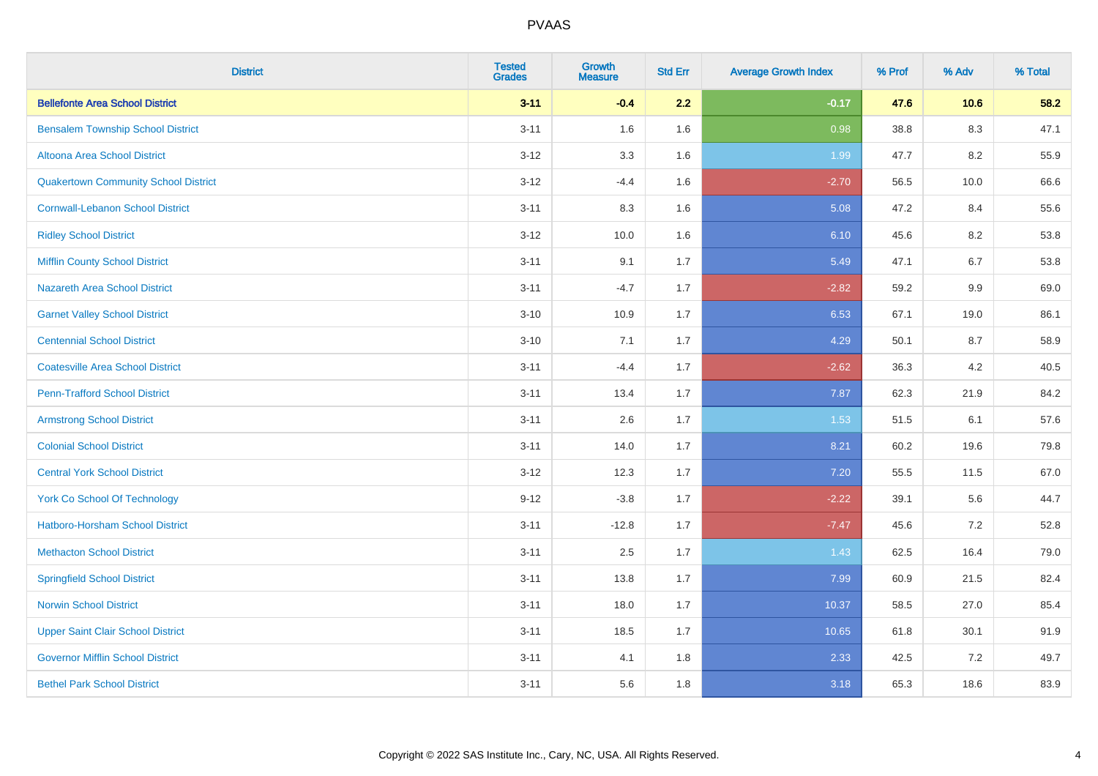| <b>District</b>                             | <b>Tested</b><br><b>Grades</b> | <b>Growth</b><br><b>Measure</b> | <b>Std Err</b> | <b>Average Growth Index</b> | % Prof | % Adv   | % Total |
|---------------------------------------------|--------------------------------|---------------------------------|----------------|-----------------------------|--------|---------|---------|
| <b>Bellefonte Area School District</b>      | $3 - 11$                       | $-0.4$                          | 2.2            | $-0.17$                     | 47.6   | 10.6    | 58.2    |
| <b>Bensalem Township School District</b>    | $3 - 11$                       | 1.6                             | 1.6            | 0.98                        | 38.8   | $8.3\,$ | 47.1    |
| Altoona Area School District                | $3 - 12$                       | 3.3                             | 1.6            | 1.99                        | 47.7   | 8.2     | 55.9    |
| <b>Quakertown Community School District</b> | $3-12$                         | $-4.4$                          | 1.6            | $-2.70$                     | 56.5   | 10.0    | 66.6    |
| <b>Cornwall-Lebanon School District</b>     | $3 - 11$                       | 8.3                             | 1.6            | 5.08                        | 47.2   | 8.4     | 55.6    |
| <b>Ridley School District</b>               | $3 - 12$                       | 10.0                            | 1.6            | 6.10                        | 45.6   | 8.2     | 53.8    |
| <b>Mifflin County School District</b>       | $3 - 11$                       | 9.1                             | 1.7            | 5.49                        | 47.1   | 6.7     | 53.8    |
| <b>Nazareth Area School District</b>        | $3 - 11$                       | $-4.7$                          | 1.7            | $-2.82$                     | 59.2   | 9.9     | 69.0    |
| <b>Garnet Valley School District</b>        | $3 - 10$                       | 10.9                            | 1.7            | 6.53                        | 67.1   | 19.0    | 86.1    |
| <b>Centennial School District</b>           | $3 - 10$                       | 7.1                             | 1.7            | 4.29                        | 50.1   | 8.7     | 58.9    |
| <b>Coatesville Area School District</b>     | $3 - 11$                       | $-4.4$                          | 1.7            | $-2.62$                     | 36.3   | 4.2     | 40.5    |
| <b>Penn-Trafford School District</b>        | $3 - 11$                       | 13.4                            | 1.7            | 7.87                        | 62.3   | 21.9    | 84.2    |
| <b>Armstrong School District</b>            | $3 - 11$                       | 2.6                             | 1.7            | 1.53                        | 51.5   | 6.1     | 57.6    |
| <b>Colonial School District</b>             | $3 - 11$                       | 14.0                            | 1.7            | 8.21                        | 60.2   | 19.6    | 79.8    |
| <b>Central York School District</b>         | $3-12$                         | 12.3                            | 1.7            | 7.20                        | 55.5   | 11.5    | 67.0    |
| <b>York Co School Of Technology</b>         | $9 - 12$                       | $-3.8$                          | 1.7            | $-2.22$                     | 39.1   | 5.6     | 44.7    |
| <b>Hatboro-Horsham School District</b>      | $3 - 11$                       | $-12.8$                         | 1.7            | $-7.47$                     | 45.6   | 7.2     | 52.8    |
| <b>Methacton School District</b>            | $3 - 11$                       | 2.5                             | 1.7            | 1.43                        | 62.5   | 16.4    | 79.0    |
| <b>Springfield School District</b>          | $3 - 11$                       | 13.8                            | 1.7            | 7.99                        | 60.9   | 21.5    | 82.4    |
| <b>Norwin School District</b>               | $3 - 11$                       | 18.0                            | 1.7            | 10.37                       | 58.5   | 27.0    | 85.4    |
| <b>Upper Saint Clair School District</b>    | $3 - 11$                       | 18.5                            | 1.7            | 10.65                       | 61.8   | 30.1    | 91.9    |
| <b>Governor Mifflin School District</b>     | $3 - 11$                       | 4.1                             | 1.8            | 2.33                        | 42.5   | 7.2     | 49.7    |
| <b>Bethel Park School District</b>          | $3 - 11$                       | 5.6                             | 1.8            | 3.18                        | 65.3   | 18.6    | 83.9    |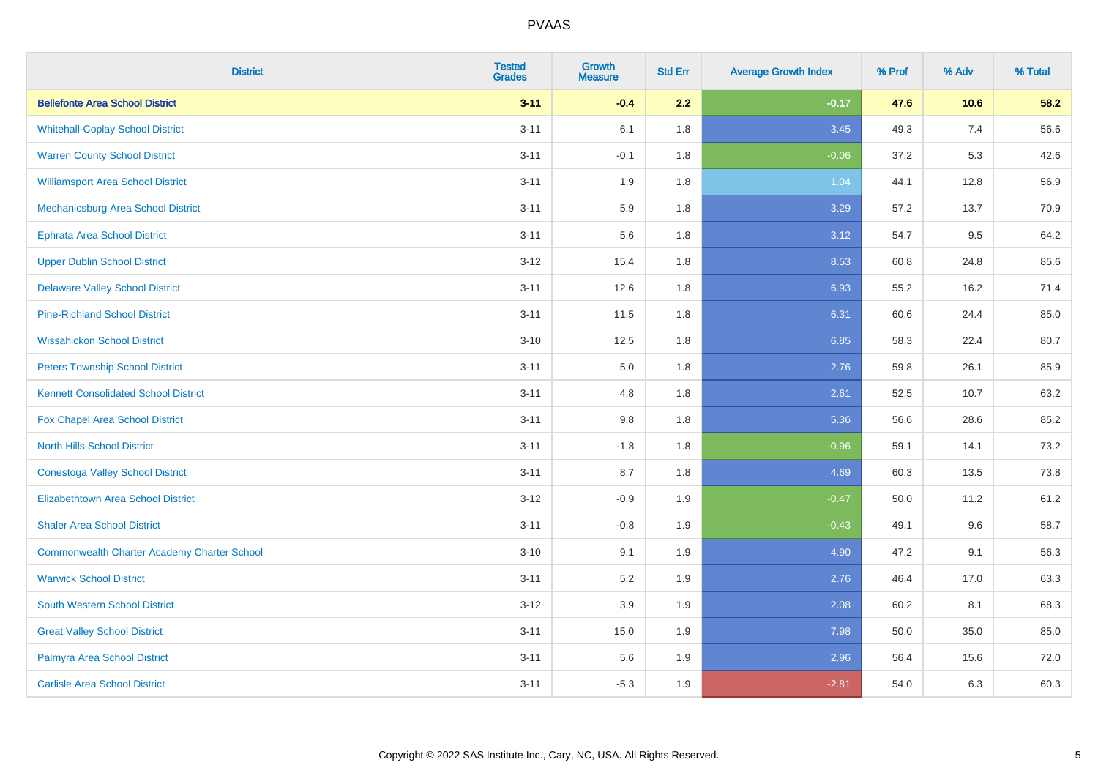| <b>District</b>                                    | <b>Tested</b><br><b>Grades</b> | <b>Growth</b><br><b>Measure</b> | <b>Std Err</b> | <b>Average Growth Index</b> | % Prof | % Adv | % Total |
|----------------------------------------------------|--------------------------------|---------------------------------|----------------|-----------------------------|--------|-------|---------|
| <b>Bellefonte Area School District</b>             | $3 - 11$                       | $-0.4$                          | 2.2            | $-0.17$                     | 47.6   | 10.6  | 58.2    |
| <b>Whitehall-Coplay School District</b>            | $3 - 11$                       | 6.1                             | 1.8            | 3.45                        | 49.3   | 7.4   | 56.6    |
| <b>Warren County School District</b>               | $3 - 11$                       | $-0.1$                          | 1.8            | $-0.06$                     | 37.2   | 5.3   | 42.6    |
| <b>Williamsport Area School District</b>           | $3 - 11$                       | 1.9                             | 1.8            | 1.04                        | 44.1   | 12.8  | 56.9    |
| Mechanicsburg Area School District                 | $3 - 11$                       | 5.9                             | 1.8            | 3.29                        | 57.2   | 13.7  | 70.9    |
| <b>Ephrata Area School District</b>                | $3 - 11$                       | 5.6                             | 1.8            | 3.12                        | 54.7   | 9.5   | 64.2    |
| <b>Upper Dublin School District</b>                | $3-12$                         | 15.4                            | 1.8            | 8.53                        | 60.8   | 24.8  | 85.6    |
| <b>Delaware Valley School District</b>             | $3 - 11$                       | 12.6                            | 1.8            | 6.93                        | 55.2   | 16.2  | 71.4    |
| <b>Pine-Richland School District</b>               | $3 - 11$                       | 11.5                            | 1.8            | 6.31                        | 60.6   | 24.4  | 85.0    |
| <b>Wissahickon School District</b>                 | $3 - 10$                       | 12.5                            | 1.8            | 6.85                        | 58.3   | 22.4  | 80.7    |
| <b>Peters Township School District</b>             | $3 - 11$                       | 5.0                             | 1.8            | 2.76                        | 59.8   | 26.1  | 85.9    |
| <b>Kennett Consolidated School District</b>        | $3 - 11$                       | 4.8                             | 1.8            | 2.61                        | 52.5   | 10.7  | 63.2    |
| Fox Chapel Area School District                    | $3 - 11$                       | $9.8\,$                         | 1.8            | 5.36                        | 56.6   | 28.6  | 85.2    |
| <b>North Hills School District</b>                 | $3 - 11$                       | $-1.8$                          | 1.8            | $-0.96$                     | 59.1   | 14.1  | 73.2    |
| <b>Conestoga Valley School District</b>            | $3 - 11$                       | 8.7                             | 1.8            | 4.69                        | 60.3   | 13.5  | 73.8    |
| <b>Elizabethtown Area School District</b>          | $3-12$                         | $-0.9$                          | 1.9            | $-0.47$                     | 50.0   | 11.2  | 61.2    |
| <b>Shaler Area School District</b>                 | $3 - 11$                       | $-0.8$                          | 1.9            | $-0.43$                     | 49.1   | 9.6   | 58.7    |
| <b>Commonwealth Charter Academy Charter School</b> | $3 - 10$                       | 9.1                             | 1.9            | 4.90                        | 47.2   | 9.1   | 56.3    |
| <b>Warwick School District</b>                     | $3 - 11$                       | 5.2                             | 1.9            | 2.76                        | 46.4   | 17.0  | 63.3    |
| <b>South Western School District</b>               | $3-12$                         | 3.9                             | 1.9            | 2.08                        | 60.2   | 8.1   | 68.3    |
| <b>Great Valley School District</b>                | $3 - 11$                       | 15.0                            | 1.9            | 7.98                        | 50.0   | 35.0  | 85.0    |
| Palmyra Area School District                       | $3 - 11$                       | 5.6                             | 1.9            | 2.96                        | 56.4   | 15.6  | 72.0    |
| <b>Carlisle Area School District</b>               | $3 - 11$                       | $-5.3$                          | 1.9            | $-2.81$                     | 54.0   | 6.3   | 60.3    |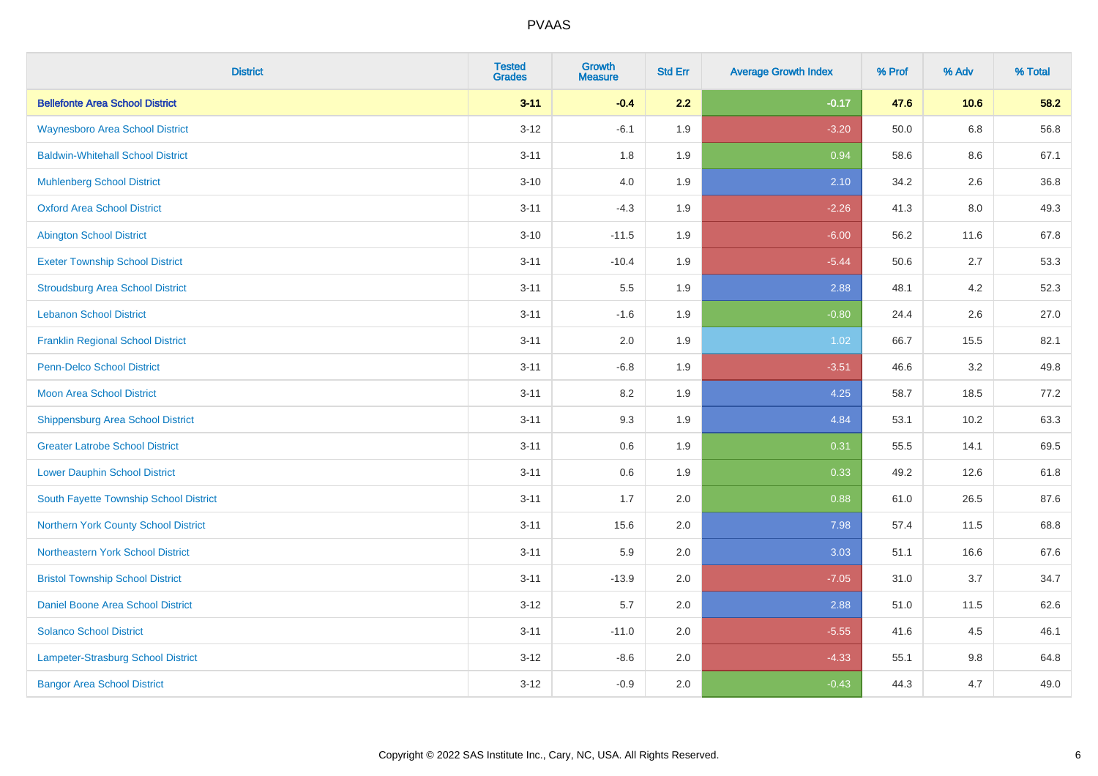| <b>District</b>                          | <b>Tested</b><br><b>Grades</b> | <b>Growth</b><br><b>Measure</b> | <b>Std Err</b> | <b>Average Growth Index</b> | % Prof | % Adv | % Total |
|------------------------------------------|--------------------------------|---------------------------------|----------------|-----------------------------|--------|-------|---------|
| <b>Bellefonte Area School District</b>   | $3 - 11$                       | $-0.4$                          | 2.2            | $-0.17$                     | 47.6   | 10.6  | 58.2    |
| <b>Waynesboro Area School District</b>   | $3 - 12$                       | $-6.1$                          | 1.9            | $-3.20$                     | 50.0   | 6.8   | 56.8    |
| <b>Baldwin-Whitehall School District</b> | $3 - 11$                       | 1.8                             | 1.9            | 0.94                        | 58.6   | 8.6   | 67.1    |
| <b>Muhlenberg School District</b>        | $3 - 10$                       | 4.0                             | 1.9            | 2.10                        | 34.2   | 2.6   | 36.8    |
| <b>Oxford Area School District</b>       | $3 - 11$                       | $-4.3$                          | 1.9            | $-2.26$                     | 41.3   | 8.0   | 49.3    |
| <b>Abington School District</b>          | $3 - 10$                       | $-11.5$                         | 1.9            | $-6.00$                     | 56.2   | 11.6  | 67.8    |
| <b>Exeter Township School District</b>   | $3 - 11$                       | $-10.4$                         | 1.9            | $-5.44$                     | 50.6   | 2.7   | 53.3    |
| <b>Stroudsburg Area School District</b>  | $3 - 11$                       | $5.5\,$                         | 1.9            | 2.88                        | 48.1   | 4.2   | 52.3    |
| <b>Lebanon School District</b>           | $3 - 11$                       | $-1.6$                          | 1.9            | $-0.80$                     | 24.4   | 2.6   | 27.0    |
| <b>Franklin Regional School District</b> | $3 - 11$                       | 2.0                             | 1.9            | 1.02                        | 66.7   | 15.5  | 82.1    |
| <b>Penn-Delco School District</b>        | $3 - 11$                       | $-6.8$                          | 1.9            | $-3.51$                     | 46.6   | 3.2   | 49.8    |
| <b>Moon Area School District</b>         | $3 - 11$                       | 8.2                             | 1.9            | 4.25                        | 58.7   | 18.5  | 77.2    |
| <b>Shippensburg Area School District</b> | $3 - 11$                       | 9.3                             | 1.9            | 4.84                        | 53.1   | 10.2  | 63.3    |
| <b>Greater Latrobe School District</b>   | $3 - 11$                       | 0.6                             | 1.9            | 0.31                        | 55.5   | 14.1  | 69.5    |
| <b>Lower Dauphin School District</b>     | $3 - 11$                       | 0.6                             | 1.9            | 0.33                        | 49.2   | 12.6  | 61.8    |
| South Fayette Township School District   | $3 - 11$                       | 1.7                             | 2.0            | 0.88                        | 61.0   | 26.5  | 87.6    |
| Northern York County School District     | $3 - 11$                       | 15.6                            | 2.0            | 7.98                        | 57.4   | 11.5  | 68.8    |
| Northeastern York School District        | $3 - 11$                       | 5.9                             | 2.0            | 3.03                        | 51.1   | 16.6  | 67.6    |
| <b>Bristol Township School District</b>  | $3 - 11$                       | $-13.9$                         | 2.0            | $-7.05$                     | 31.0   | 3.7   | 34.7    |
| <b>Daniel Boone Area School District</b> | $3 - 12$                       | 5.7                             | 2.0            | 2.88                        | 51.0   | 11.5  | 62.6    |
| <b>Solanco School District</b>           | $3 - 11$                       | $-11.0$                         | 2.0            | $-5.55$                     | 41.6   | 4.5   | 46.1    |
| Lampeter-Strasburg School District       | $3-12$                         | $-8.6$                          | 2.0            | $-4.33$                     | 55.1   | 9.8   | 64.8    |
| <b>Bangor Area School District</b>       | $3 - 12$                       | $-0.9$                          | 2.0            | $-0.43$                     | 44.3   | 4.7   | 49.0    |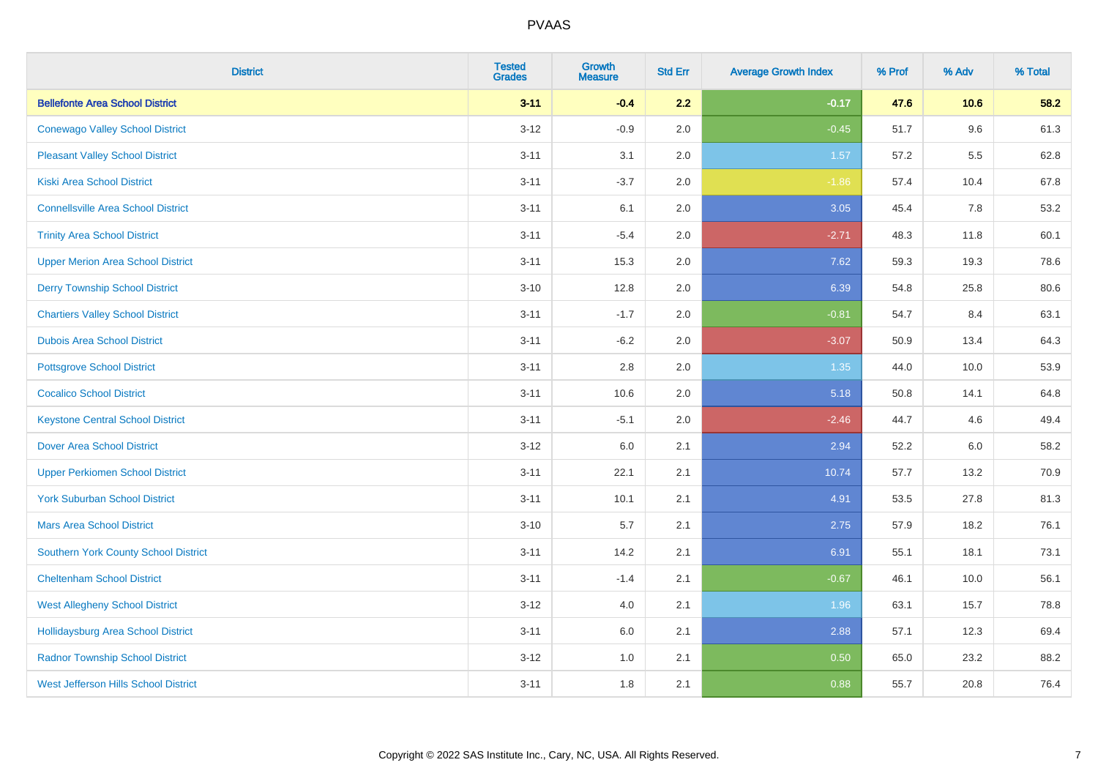| <b>District</b>                             | <b>Tested</b><br><b>Grades</b> | Growth<br><b>Measure</b> | <b>Std Err</b> | <b>Average Growth Index</b> | % Prof | % Adv | % Total |
|---------------------------------------------|--------------------------------|--------------------------|----------------|-----------------------------|--------|-------|---------|
| <b>Bellefonte Area School District</b>      | $3 - 11$                       | $-0.4$                   | 2.2            | $-0.17$                     | 47.6   | 10.6  | 58.2    |
| <b>Conewago Valley School District</b>      | $3 - 12$                       | $-0.9$                   | 2.0            | $-0.45$                     | 51.7   | 9.6   | 61.3    |
| <b>Pleasant Valley School District</b>      | $3 - 11$                       | 3.1                      | 2.0            | 1.57                        | 57.2   | 5.5   | 62.8    |
| <b>Kiski Area School District</b>           | $3 - 11$                       | $-3.7$                   | 2.0            | $-1.86$                     | 57.4   | 10.4  | 67.8    |
| <b>Connellsville Area School District</b>   | $3 - 11$                       | 6.1                      | 2.0            | 3.05                        | 45.4   | 7.8   | 53.2    |
| <b>Trinity Area School District</b>         | $3 - 11$                       | $-5.4$                   | 2.0            | $-2.71$                     | 48.3   | 11.8  | 60.1    |
| <b>Upper Merion Area School District</b>    | $3 - 11$                       | 15.3                     | 2.0            | 7.62                        | 59.3   | 19.3  | 78.6    |
| <b>Derry Township School District</b>       | $3 - 10$                       | 12.8                     | 2.0            | 6.39                        | 54.8   | 25.8  | 80.6    |
| <b>Chartiers Valley School District</b>     | $3 - 11$                       | $-1.7$                   | 2.0            | $-0.81$                     | 54.7   | 8.4   | 63.1    |
| <b>Dubois Area School District</b>          | $3 - 11$                       | $-6.2$                   | 2.0            | $-3.07$                     | 50.9   | 13.4  | 64.3    |
| <b>Pottsgrove School District</b>           | $3 - 11$                       | 2.8                      | 2.0            | 1.35                        | 44.0   | 10.0  | 53.9    |
| <b>Cocalico School District</b>             | $3 - 11$                       | 10.6                     | 2.0            | 5.18                        | 50.8   | 14.1  | 64.8    |
| <b>Keystone Central School District</b>     | $3 - 11$                       | $-5.1$                   | 2.0            | $-2.46$                     | 44.7   | 4.6   | 49.4    |
| <b>Dover Area School District</b>           | $3-12$                         | 6.0                      | 2.1            | 2.94                        | 52.2   | 6.0   | 58.2    |
| <b>Upper Perkiomen School District</b>      | $3 - 11$                       | 22.1                     | 2.1            | 10.74                       | 57.7   | 13.2  | 70.9    |
| <b>York Suburban School District</b>        | $3 - 11$                       | 10.1                     | 2.1            | 4.91                        | 53.5   | 27.8  | 81.3    |
| <b>Mars Area School District</b>            | $3 - 10$                       | 5.7                      | 2.1            | 2.75                        | 57.9   | 18.2  | 76.1    |
| Southern York County School District        | $3 - 11$                       | 14.2                     | 2.1            | 6.91                        | 55.1   | 18.1  | 73.1    |
| <b>Cheltenham School District</b>           | $3 - 11$                       | $-1.4$                   | 2.1            | $-0.67$                     | 46.1   | 10.0  | 56.1    |
| <b>West Allegheny School District</b>       | $3-12$                         | 4.0                      | 2.1            | 1.96                        | 63.1   | 15.7  | 78.8    |
| <b>Hollidaysburg Area School District</b>   | $3 - 11$                       | 6.0                      | 2.1            | 2.88                        | 57.1   | 12.3  | 69.4    |
| <b>Radnor Township School District</b>      | $3 - 12$                       | 1.0                      | 2.1            | 0.50                        | 65.0   | 23.2  | 88.2    |
| <b>West Jefferson Hills School District</b> | $3 - 11$                       | 1.8                      | 2.1            | 0.88                        | 55.7   | 20.8  | 76.4    |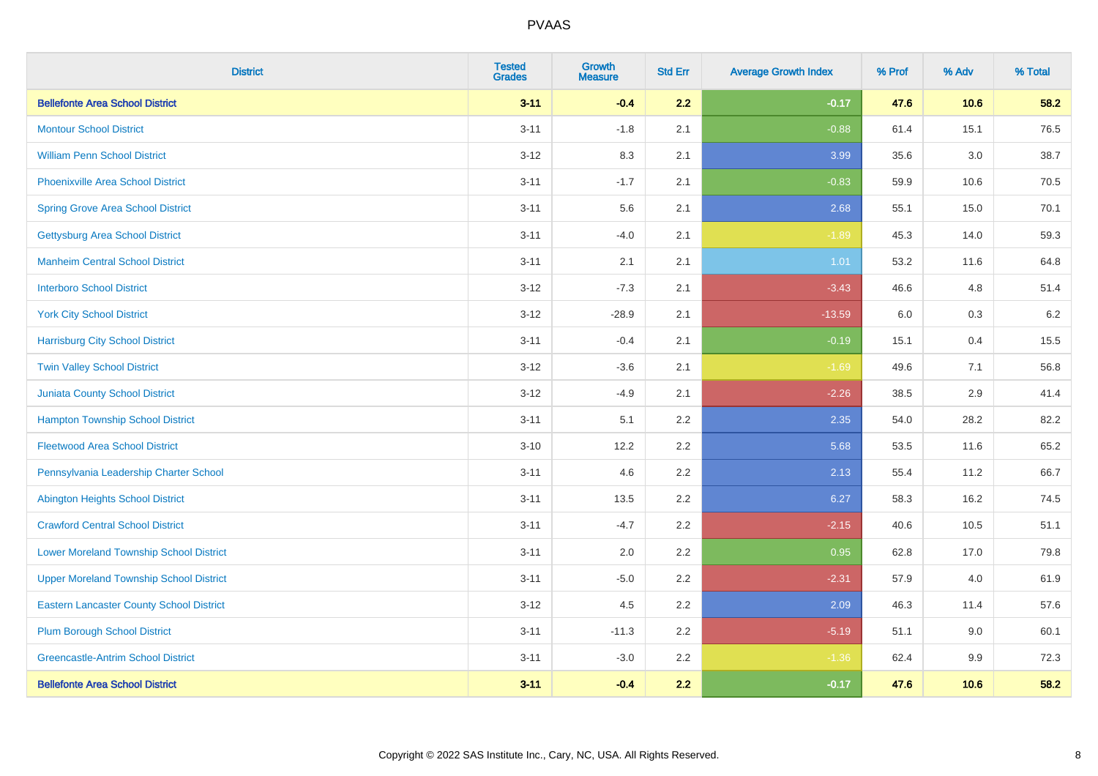| <b>District</b>                                 | <b>Tested</b><br><b>Grades</b> | <b>Growth</b><br><b>Measure</b> | <b>Std Err</b> | <b>Average Growth Index</b> | % Prof | % Adv   | % Total |
|-------------------------------------------------|--------------------------------|---------------------------------|----------------|-----------------------------|--------|---------|---------|
| <b>Bellefonte Area School District</b>          | $3 - 11$                       | $-0.4$                          | 2.2            | $-0.17$                     | 47.6   | 10.6    | 58.2    |
| <b>Montour School District</b>                  | $3 - 11$                       | $-1.8$                          | 2.1            | $-0.88$                     | 61.4   | 15.1    | 76.5    |
| <b>William Penn School District</b>             | $3-12$                         | 8.3                             | 2.1            | 3.99                        | 35.6   | $3.0\,$ | 38.7    |
| Phoenixville Area School District               | $3 - 11$                       | $-1.7$                          | 2.1            | $-0.83$                     | 59.9   | 10.6    | 70.5    |
| <b>Spring Grove Area School District</b>        | $3 - 11$                       | 5.6                             | 2.1            | 2.68                        | 55.1   | 15.0    | 70.1    |
| <b>Gettysburg Area School District</b>          | $3 - 11$                       | $-4.0$                          | 2.1            | $-1.89$                     | 45.3   | 14.0    | 59.3    |
| <b>Manheim Central School District</b>          | $3 - 11$                       | 2.1                             | 2.1            | 1.01                        | 53.2   | 11.6    | 64.8    |
| <b>Interboro School District</b>                | $3 - 12$                       | $-7.3$                          | 2.1            | $-3.43$                     | 46.6   | 4.8     | 51.4    |
| <b>York City School District</b>                | $3-12$                         | $-28.9$                         | 2.1            | $-13.59$                    | 6.0    | $0.3\,$ | 6.2     |
| <b>Harrisburg City School District</b>          | $3 - 11$                       | $-0.4$                          | 2.1            | $-0.19$                     | 15.1   | 0.4     | 15.5    |
| <b>Twin Valley School District</b>              | $3-12$                         | $-3.6$                          | 2.1            | $-1.69$                     | 49.6   | 7.1     | 56.8    |
| Juniata County School District                  | $3-12$                         | $-4.9$                          | 2.1            | $-2.26$                     | 38.5   | 2.9     | 41.4    |
| <b>Hampton Township School District</b>         | $3 - 11$                       | 5.1                             | 2.2            | 2.35                        | 54.0   | 28.2    | 82.2    |
| <b>Fleetwood Area School District</b>           | $3 - 10$                       | 12.2                            | 2.2            | 5.68                        | 53.5   | 11.6    | 65.2    |
| Pennsylvania Leadership Charter School          | $3 - 11$                       | 4.6                             | 2.2            | 2.13                        | 55.4   | 11.2    | 66.7    |
| <b>Abington Heights School District</b>         | $3 - 11$                       | 13.5                            | 2.2            | 6.27                        | 58.3   | 16.2    | 74.5    |
| <b>Crawford Central School District</b>         | $3 - 11$                       | $-4.7$                          | 2.2            | $-2.15$                     | 40.6   | 10.5    | 51.1    |
| <b>Lower Moreland Township School District</b>  | $3 - 11$                       | 2.0                             | 2.2            | 0.95                        | 62.8   | 17.0    | 79.8    |
| <b>Upper Moreland Township School District</b>  | $3 - 11$                       | $-5.0$                          | 2.2            | $-2.31$                     | 57.9   | 4.0     | 61.9    |
| <b>Eastern Lancaster County School District</b> | $3-12$                         | 4.5                             | 2.2            | 2.09                        | 46.3   | 11.4    | 57.6    |
| <b>Plum Borough School District</b>             | $3 - 11$                       | $-11.3$                         | 2.2            | $-5.19$                     | 51.1   | 9.0     | 60.1    |
| <b>Greencastle-Antrim School District</b>       | $3 - 11$                       | $-3.0$                          | 2.2            | $-1.36$                     | 62.4   | 9.9     | 72.3    |
| <b>Bellefonte Area School District</b>          | $3 - 11$                       | $-0.4$                          | 2.2            | $-0.17$                     | 47.6   | 10.6    | 58.2    |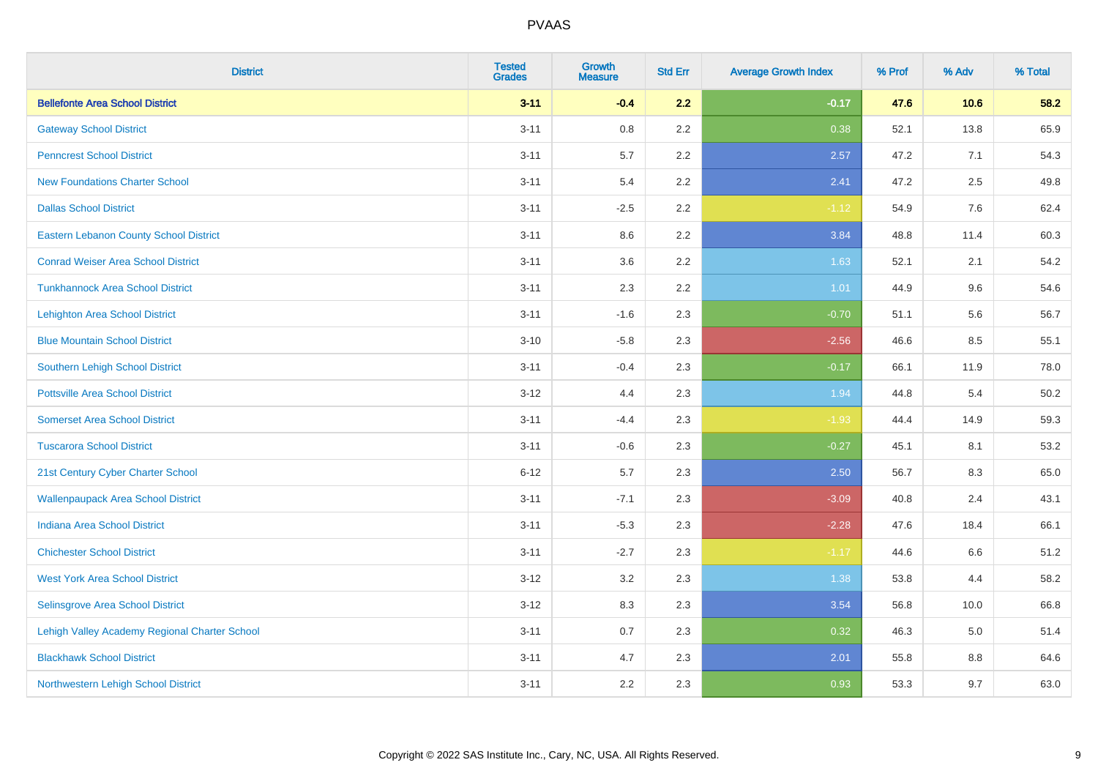| <b>District</b>                               | <b>Tested</b><br><b>Grades</b> | <b>Growth</b><br><b>Measure</b> | <b>Std Err</b> | <b>Average Growth Index</b> | % Prof | % Adv | % Total |
|-----------------------------------------------|--------------------------------|---------------------------------|----------------|-----------------------------|--------|-------|---------|
| <b>Bellefonte Area School District</b>        | $3 - 11$                       | $-0.4$                          | 2.2            | $-0.17$                     | 47.6   | 10.6  | 58.2    |
| <b>Gateway School District</b>                | $3 - 11$                       | $0.8\,$                         | 2.2            | 0.38                        | 52.1   | 13.8  | 65.9    |
| <b>Penncrest School District</b>              | $3 - 11$                       | 5.7                             | 2.2            | 2.57                        | 47.2   | 7.1   | 54.3    |
| <b>New Foundations Charter School</b>         | $3 - 11$                       | 5.4                             | 2.2            | 2.41                        | 47.2   | 2.5   | 49.8    |
| <b>Dallas School District</b>                 | $3 - 11$                       | $-2.5$                          | 2.2            | $-1.12$                     | 54.9   | 7.6   | 62.4    |
| <b>Eastern Lebanon County School District</b> | $3 - 11$                       | 8.6                             | 2.2            | 3.84                        | 48.8   | 11.4  | 60.3    |
| <b>Conrad Weiser Area School District</b>     | $3 - 11$                       | 3.6                             | 2.2            | 1.63                        | 52.1   | 2.1   | 54.2    |
| <b>Tunkhannock Area School District</b>       | $3 - 11$                       | 2.3                             | 2.2            | 1.01                        | 44.9   | 9.6   | 54.6    |
| <b>Lehighton Area School District</b>         | $3 - 11$                       | $-1.6$                          | 2.3            | $-0.70$                     | 51.1   | 5.6   | 56.7    |
| <b>Blue Mountain School District</b>          | $3 - 10$                       | $-5.8$                          | 2.3            | $-2.56$                     | 46.6   | 8.5   | 55.1    |
| Southern Lehigh School District               | $3 - 11$                       | $-0.4$                          | 2.3            | $-0.17$                     | 66.1   | 11.9  | 78.0    |
| <b>Pottsville Area School District</b>        | $3 - 12$                       | 4.4                             | 2.3            | 1.94                        | 44.8   | 5.4   | 50.2    |
| <b>Somerset Area School District</b>          | $3 - 11$                       | $-4.4$                          | 2.3            | $-1.93$                     | 44.4   | 14.9  | 59.3    |
| <b>Tuscarora School District</b>              | $3 - 11$                       | $-0.6$                          | 2.3            | $-0.27$                     | 45.1   | 8.1   | 53.2    |
| 21st Century Cyber Charter School             | $6 - 12$                       | 5.7                             | 2.3            | 2.50                        | 56.7   | 8.3   | 65.0    |
| <b>Wallenpaupack Area School District</b>     | $3 - 11$                       | $-7.1$                          | 2.3            | $-3.09$                     | 40.8   | 2.4   | 43.1    |
| <b>Indiana Area School District</b>           | $3 - 11$                       | $-5.3$                          | 2.3            | $-2.28$                     | 47.6   | 18.4  | 66.1    |
| <b>Chichester School District</b>             | $3 - 11$                       | $-2.7$                          | 2.3            | $-1.17$                     | 44.6   | 6.6   | 51.2    |
| <b>West York Area School District</b>         | $3 - 12$                       | 3.2                             | 2.3            | 1.38                        | 53.8   | 4.4   | 58.2    |
| Selinsgrove Area School District              | $3 - 12$                       | 8.3                             | 2.3            | 3.54                        | 56.8   | 10.0  | 66.8    |
| Lehigh Valley Academy Regional Charter School | $3 - 11$                       | 0.7                             | 2.3            | 0.32                        | 46.3   | 5.0   | 51.4    |
| <b>Blackhawk School District</b>              | $3 - 11$                       | 4.7                             | 2.3            | 2.01                        | 55.8   | 8.8   | 64.6    |
| Northwestern Lehigh School District           | $3 - 11$                       | 2.2                             | 2.3            | 0.93                        | 53.3   | 9.7   | 63.0    |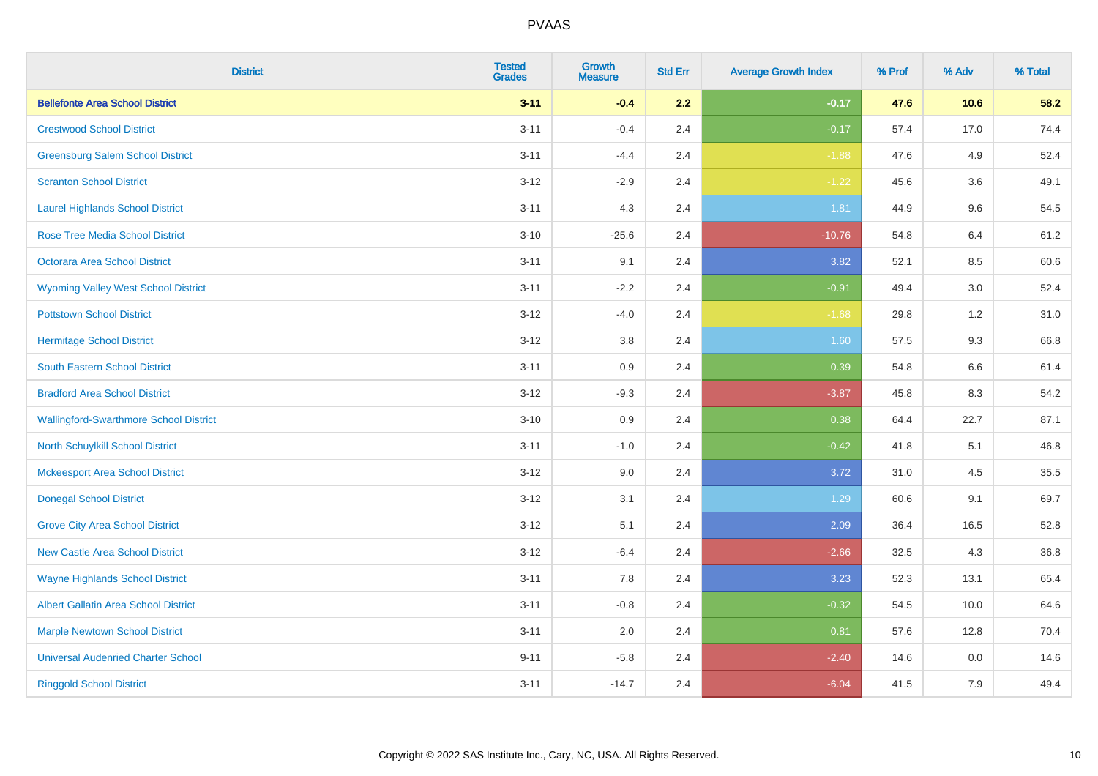| <b>District</b>                               | <b>Tested</b><br><b>Grades</b> | Growth<br><b>Measure</b> | <b>Std Err</b> | <b>Average Growth Index</b> | % Prof | % Adv   | % Total |
|-----------------------------------------------|--------------------------------|--------------------------|----------------|-----------------------------|--------|---------|---------|
| <b>Bellefonte Area School District</b>        | $3 - 11$                       | $-0.4$                   | 2.2            | $-0.17$                     | 47.6   | 10.6    | 58.2    |
| <b>Crestwood School District</b>              | $3 - 11$                       | $-0.4$                   | 2.4            | $-0.17$                     | 57.4   | 17.0    | 74.4    |
| <b>Greensburg Salem School District</b>       | $3 - 11$                       | $-4.4$                   | 2.4            | $-1.88$                     | 47.6   | 4.9     | 52.4    |
| <b>Scranton School District</b>               | $3 - 12$                       | $-2.9$                   | 2.4            | $-1.22$                     | 45.6   | 3.6     | 49.1    |
| <b>Laurel Highlands School District</b>       | $3 - 11$                       | 4.3                      | 2.4            | 1.81                        | 44.9   | 9.6     | 54.5    |
| <b>Rose Tree Media School District</b>        | $3 - 10$                       | $-25.6$                  | 2.4            | $-10.76$                    | 54.8   | 6.4     | 61.2    |
| <b>Octorara Area School District</b>          | $3 - 11$                       | 9.1                      | 2.4            | 3.82                        | 52.1   | 8.5     | 60.6    |
| <b>Wyoming Valley West School District</b>    | $3 - 11$                       | $-2.2$                   | 2.4            | $-0.91$                     | 49.4   | 3.0     | 52.4    |
| <b>Pottstown School District</b>              | $3 - 12$                       | $-4.0$                   | 2.4            | $-1.68$                     | 29.8   | 1.2     | 31.0    |
| <b>Hermitage School District</b>              | $3 - 12$                       | 3.8                      | 2.4            | 1.60                        | 57.5   | 9.3     | 66.8    |
| South Eastern School District                 | $3 - 11$                       | 0.9                      | 2.4            | 0.39                        | 54.8   | $6.6\,$ | 61.4    |
| <b>Bradford Area School District</b>          | $3 - 12$                       | $-9.3$                   | 2.4            | $-3.87$                     | 45.8   | 8.3     | 54.2    |
| <b>Wallingford-Swarthmore School District</b> | $3 - 10$                       | 0.9                      | 2.4            | 0.38                        | 64.4   | 22.7    | 87.1    |
| North Schuylkill School District              | $3 - 11$                       | $-1.0$                   | 2.4            | $-0.42$                     | 41.8   | 5.1     | 46.8    |
| <b>Mckeesport Area School District</b>        | $3 - 12$                       | 9.0                      | 2.4            | 3.72                        | 31.0   | 4.5     | 35.5    |
| <b>Donegal School District</b>                | $3-12$                         | 3.1                      | 2.4            | 1.29                        | 60.6   | 9.1     | 69.7    |
| <b>Grove City Area School District</b>        | $3 - 12$                       | 5.1                      | 2.4            | 2.09                        | 36.4   | 16.5    | 52.8    |
| <b>New Castle Area School District</b>        | $3-12$                         | $-6.4$                   | 2.4            | $-2.66$                     | 32.5   | 4.3     | 36.8    |
| <b>Wayne Highlands School District</b>        | $3 - 11$                       | 7.8                      | 2.4            | 3.23                        | 52.3   | 13.1    | 65.4    |
| Albert Gallatin Area School District          | $3 - 11$                       | $-0.8$                   | 2.4            | $-0.32$                     | 54.5   | 10.0    | 64.6    |
| <b>Marple Newtown School District</b>         | $3 - 11$                       | 2.0                      | 2.4            | 0.81                        | 57.6   | 12.8    | 70.4    |
| <b>Universal Audenried Charter School</b>     | $9 - 11$                       | $-5.8$                   | 2.4            | $-2.40$                     | 14.6   | 0.0     | 14.6    |
| <b>Ringgold School District</b>               | $3 - 11$                       | $-14.7$                  | 2.4            | $-6.04$                     | 41.5   | 7.9     | 49.4    |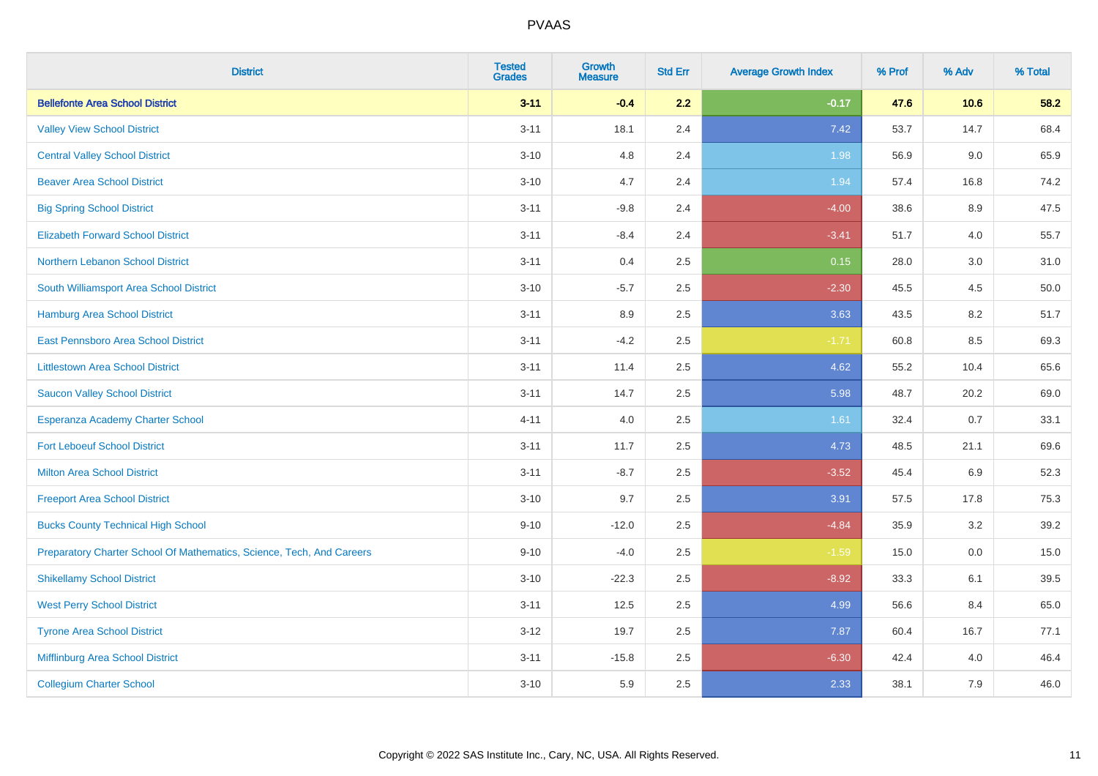| <b>District</b>                                                       | <b>Tested</b><br><b>Grades</b> | <b>Growth</b><br><b>Measure</b> | <b>Std Err</b> | <b>Average Growth Index</b> | % Prof | % Adv | % Total |
|-----------------------------------------------------------------------|--------------------------------|---------------------------------|----------------|-----------------------------|--------|-------|---------|
| <b>Bellefonte Area School District</b>                                | $3 - 11$                       | $-0.4$                          | 2.2            | $-0.17$                     | 47.6   | 10.6  | 58.2    |
| <b>Valley View School District</b>                                    | $3 - 11$                       | 18.1                            | 2.4            | 7.42                        | 53.7   | 14.7  | 68.4    |
| <b>Central Valley School District</b>                                 | $3 - 10$                       | 4.8                             | 2.4            | 1.98                        | 56.9   | 9.0   | 65.9    |
| <b>Beaver Area School District</b>                                    | $3 - 10$                       | 4.7                             | 2.4            | 1.94                        | 57.4   | 16.8  | 74.2    |
| <b>Big Spring School District</b>                                     | $3 - 11$                       | $-9.8$                          | 2.4            | $-4.00$                     | 38.6   | 8.9   | 47.5    |
| <b>Elizabeth Forward School District</b>                              | $3 - 11$                       | $-8.4$                          | 2.4            | $-3.41$                     | 51.7   | 4.0   | 55.7    |
| Northern Lebanon School District                                      | $3 - 11$                       | 0.4                             | 2.5            | 0.15                        | 28.0   | 3.0   | 31.0    |
| South Williamsport Area School District                               | $3 - 10$                       | $-5.7$                          | 2.5            | $-2.30$                     | 45.5   | 4.5   | 50.0    |
| Hamburg Area School District                                          | $3 - 11$                       | 8.9                             | 2.5            | 3.63                        | 43.5   | 8.2   | 51.7    |
| East Pennsboro Area School District                                   | $3 - 11$                       | $-4.2$                          | 2.5            | $-1.71$                     | 60.8   | 8.5   | 69.3    |
| <b>Littlestown Area School District</b>                               | $3 - 11$                       | 11.4                            | 2.5            | 4.62                        | 55.2   | 10.4  | 65.6    |
| <b>Saucon Valley School District</b>                                  | $3 - 11$                       | 14.7                            | 2.5            | 5.98                        | 48.7   | 20.2  | 69.0    |
| Esperanza Academy Charter School                                      | $4 - 11$                       | 4.0                             | 2.5            | 1.61                        | 32.4   | 0.7   | 33.1    |
| <b>Fort Leboeuf School District</b>                                   | $3 - 11$                       | 11.7                            | 2.5            | 4.73                        | 48.5   | 21.1  | 69.6    |
| <b>Milton Area School District</b>                                    | $3 - 11$                       | $-8.7$                          | 2.5            | $-3.52$                     | 45.4   | 6.9   | 52.3    |
| <b>Freeport Area School District</b>                                  | $3 - 10$                       | 9.7                             | 2.5            | 3.91                        | 57.5   | 17.8  | 75.3    |
| <b>Bucks County Technical High School</b>                             | $9 - 10$                       | $-12.0$                         | 2.5            | $-4.84$                     | 35.9   | 3.2   | 39.2    |
| Preparatory Charter School Of Mathematics, Science, Tech, And Careers | $9 - 10$                       | $-4.0$                          | 2.5            | $-1.59$                     | 15.0   | 0.0   | 15.0    |
| <b>Shikellamy School District</b>                                     | $3 - 10$                       | $-22.3$                         | 2.5            | $-8.92$                     | 33.3   | 6.1   | 39.5    |
| <b>West Perry School District</b>                                     | $3 - 11$                       | 12.5                            | 2.5            | 4.99                        | 56.6   | 8.4   | 65.0    |
| <b>Tyrone Area School District</b>                                    | $3 - 12$                       | 19.7                            | 2.5            | 7.87                        | 60.4   | 16.7  | 77.1    |
| Mifflinburg Area School District                                      | $3 - 11$                       | $-15.8$                         | 2.5            | $-6.30$                     | 42.4   | 4.0   | 46.4    |
| <b>Collegium Charter School</b>                                       | $3 - 10$                       | 5.9                             | 2.5            | 2.33                        | 38.1   | 7.9   | 46.0    |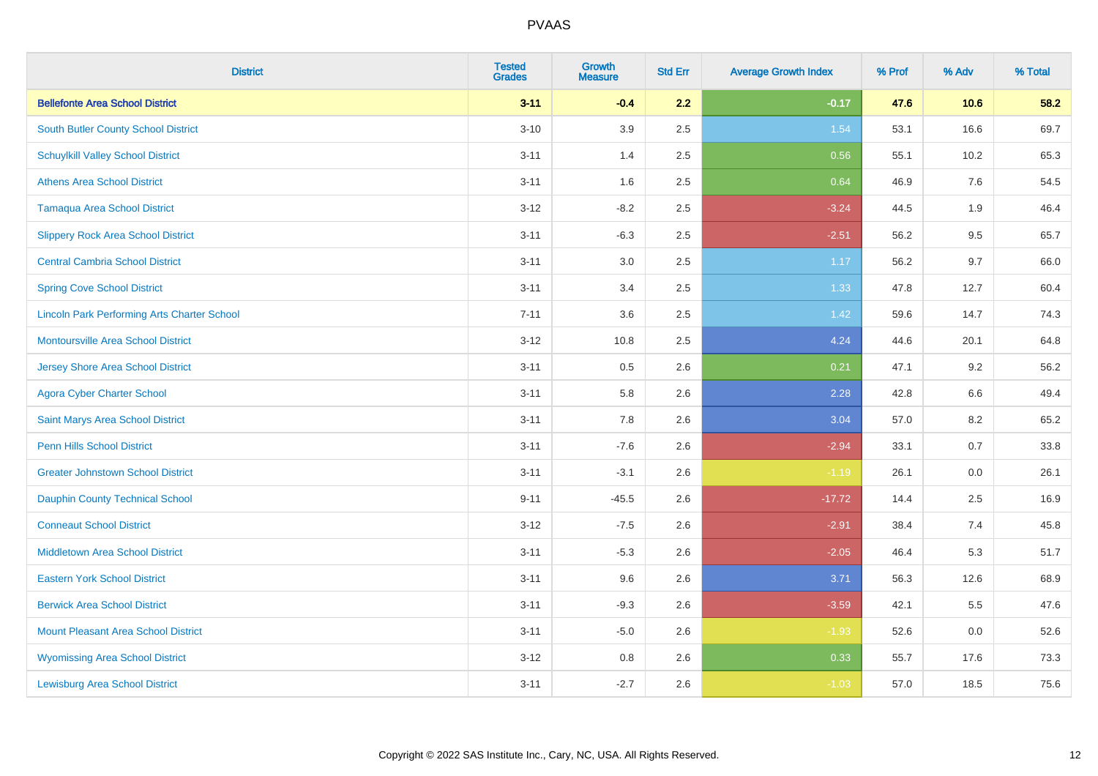| <b>District</b>                                    | <b>Tested</b><br><b>Grades</b> | <b>Growth</b><br><b>Measure</b> | <b>Std Err</b> | <b>Average Growth Index</b> | % Prof | % Adv   | % Total |
|----------------------------------------------------|--------------------------------|---------------------------------|----------------|-----------------------------|--------|---------|---------|
| <b>Bellefonte Area School District</b>             | $3 - 11$                       | $-0.4$                          | 2.2            | $-0.17$                     | 47.6   | 10.6    | 58.2    |
| <b>South Butler County School District</b>         | $3 - 10$                       | 3.9                             | 2.5            | 1.54                        | 53.1   | 16.6    | 69.7    |
| <b>Schuylkill Valley School District</b>           | $3 - 11$                       | 1.4                             | 2.5            | 0.56                        | 55.1   | 10.2    | 65.3    |
| <b>Athens Area School District</b>                 | $3 - 11$                       | 1.6                             | 2.5            | 0.64                        | 46.9   | 7.6     | 54.5    |
| <b>Tamaqua Area School District</b>                | $3 - 12$                       | $-8.2$                          | 2.5            | $-3.24$                     | 44.5   | 1.9     | 46.4    |
| <b>Slippery Rock Area School District</b>          | $3 - 11$                       | $-6.3$                          | 2.5            | $-2.51$                     | 56.2   | 9.5     | 65.7    |
| <b>Central Cambria School District</b>             | $3 - 11$                       | 3.0                             | 2.5            | 1.17                        | 56.2   | 9.7     | 66.0    |
| <b>Spring Cove School District</b>                 | $3 - 11$                       | 3.4                             | 2.5            | 1.33                        | 47.8   | 12.7    | 60.4    |
| <b>Lincoln Park Performing Arts Charter School</b> | $7 - 11$                       | 3.6                             | 2.5            | 1.42                        | 59.6   | 14.7    | 74.3    |
| <b>Montoursville Area School District</b>          | $3 - 12$                       | 10.8                            | 2.5            | 4.24                        | 44.6   | 20.1    | 64.8    |
| <b>Jersey Shore Area School District</b>           | $3 - 11$                       | 0.5                             | 2.6            | 0.21                        | 47.1   | 9.2     | 56.2    |
| <b>Agora Cyber Charter School</b>                  | $3 - 11$                       | 5.8                             | 2.6            | 2.28                        | 42.8   | 6.6     | 49.4    |
| Saint Marys Area School District                   | $3 - 11$                       | 7.8                             | 2.6            | 3.04                        | 57.0   | $8.2\,$ | 65.2    |
| <b>Penn Hills School District</b>                  | $3 - 11$                       | $-7.6$                          | 2.6            | $-2.94$                     | 33.1   | 0.7     | 33.8    |
| <b>Greater Johnstown School District</b>           | $3 - 11$                       | $-3.1$                          | 2.6            | $-1.19$                     | 26.1   | 0.0     | 26.1    |
| <b>Dauphin County Technical School</b>             | $9 - 11$                       | $-45.5$                         | 2.6            | $-17.72$                    | 14.4   | 2.5     | 16.9    |
| <b>Conneaut School District</b>                    | $3 - 12$                       | $-7.5$                          | 2.6            | $-2.91$                     | 38.4   | 7.4     | 45.8    |
| <b>Middletown Area School District</b>             | $3 - 11$                       | $-5.3$                          | 2.6            | $-2.05$                     | 46.4   | 5.3     | 51.7    |
| <b>Eastern York School District</b>                | $3 - 11$                       | 9.6                             | 2.6            | 3.71                        | 56.3   | 12.6    | 68.9    |
| <b>Berwick Area School District</b>                | $3 - 11$                       | $-9.3$                          | 2.6            | $-3.59$                     | 42.1   | 5.5     | 47.6    |
| <b>Mount Pleasant Area School District</b>         | $3 - 11$                       | $-5.0$                          | 2.6            | $-1.93$                     | 52.6   | 0.0     | 52.6    |
| <b>Wyomissing Area School District</b>             | $3 - 12$                       | 0.8                             | 2.6            | 0.33                        | 55.7   | 17.6    | 73.3    |
| <b>Lewisburg Area School District</b>              | $3 - 11$                       | $-2.7$                          | 2.6            | $-1.03$                     | 57.0   | 18.5    | 75.6    |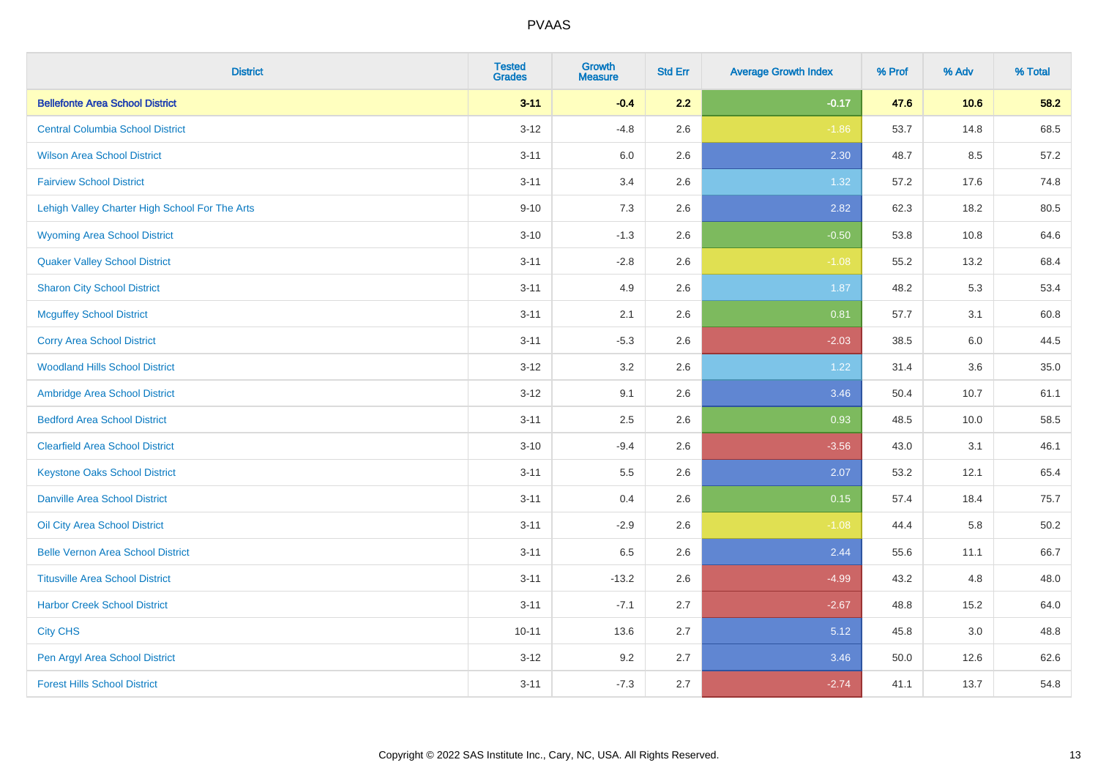| <b>District</b>                                | <b>Tested</b><br><b>Grades</b> | <b>Growth</b><br><b>Measure</b> | <b>Std Err</b> | <b>Average Growth Index</b> | % Prof | % Adv | % Total |
|------------------------------------------------|--------------------------------|---------------------------------|----------------|-----------------------------|--------|-------|---------|
| <b>Bellefonte Area School District</b>         | $3 - 11$                       | $-0.4$                          | 2.2            | $-0.17$                     | 47.6   | 10.6  | 58.2    |
| <b>Central Columbia School District</b>        | $3 - 12$                       | $-4.8$                          | 2.6            | $-1.86$                     | 53.7   | 14.8  | 68.5    |
| <b>Wilson Area School District</b>             | $3 - 11$                       | 6.0                             | 2.6            | 2.30                        | 48.7   | 8.5   | 57.2    |
| <b>Fairview School District</b>                | $3 - 11$                       | 3.4                             | 2.6            | 1.32                        | 57.2   | 17.6  | 74.8    |
| Lehigh Valley Charter High School For The Arts | $9 - 10$                       | 7.3                             | 2.6            | 2.82                        | 62.3   | 18.2  | 80.5    |
| <b>Wyoming Area School District</b>            | $3 - 10$                       | $-1.3$                          | 2.6            | $-0.50$                     | 53.8   | 10.8  | 64.6    |
| <b>Quaker Valley School District</b>           | $3 - 11$                       | $-2.8$                          | 2.6            | $-1.08$                     | 55.2   | 13.2  | 68.4    |
| <b>Sharon City School District</b>             | $3 - 11$                       | 4.9                             | 2.6            | 1.87                        | 48.2   | 5.3   | 53.4    |
| <b>Mcguffey School District</b>                | $3 - 11$                       | 2.1                             | 2.6            | 0.81                        | 57.7   | 3.1   | 60.8    |
| <b>Corry Area School District</b>              | $3 - 11$                       | $-5.3$                          | 2.6            | $-2.03$                     | 38.5   | 6.0   | 44.5    |
| <b>Woodland Hills School District</b>          | $3-12$                         | 3.2                             | 2.6            | 1.22                        | 31.4   | 3.6   | 35.0    |
| Ambridge Area School District                  | $3 - 12$                       | 9.1                             | 2.6            | 3.46                        | 50.4   | 10.7  | 61.1    |
| <b>Bedford Area School District</b>            | $3 - 11$                       | 2.5                             | 2.6            | 0.93                        | 48.5   | 10.0  | 58.5    |
| <b>Clearfield Area School District</b>         | $3 - 10$                       | $-9.4$                          | 2.6            | $-3.56$                     | 43.0   | 3.1   | 46.1    |
| <b>Keystone Oaks School District</b>           | $3 - 11$                       | 5.5                             | 2.6            | 2.07                        | 53.2   | 12.1  | 65.4    |
| <b>Danville Area School District</b>           | $3 - 11$                       | 0.4                             | 2.6            | 0.15                        | 57.4   | 18.4  | 75.7    |
| <b>Oil City Area School District</b>           | $3 - 11$                       | $-2.9$                          | 2.6            | $-1.08$                     | 44.4   | 5.8   | 50.2    |
| <b>Belle Vernon Area School District</b>       | $3 - 11$                       | 6.5                             | 2.6            | 2.44                        | 55.6   | 11.1  | 66.7    |
| <b>Titusville Area School District</b>         | $3 - 11$                       | $-13.2$                         | 2.6            | $-4.99$                     | 43.2   | 4.8   | 48.0    |
| <b>Harbor Creek School District</b>            | $3 - 11$                       | $-7.1$                          | 2.7            | $-2.67$                     | 48.8   | 15.2  | 64.0    |
| <b>City CHS</b>                                | $10 - 11$                      | 13.6                            | 2.7            | 5.12                        | 45.8   | 3.0   | 48.8    |
| Pen Argyl Area School District                 | $3 - 12$                       | 9.2                             | 2.7            | 3.46                        | 50.0   | 12.6  | 62.6    |
| <b>Forest Hills School District</b>            | $3 - 11$                       | $-7.3$                          | 2.7            | $-2.74$                     | 41.1   | 13.7  | 54.8    |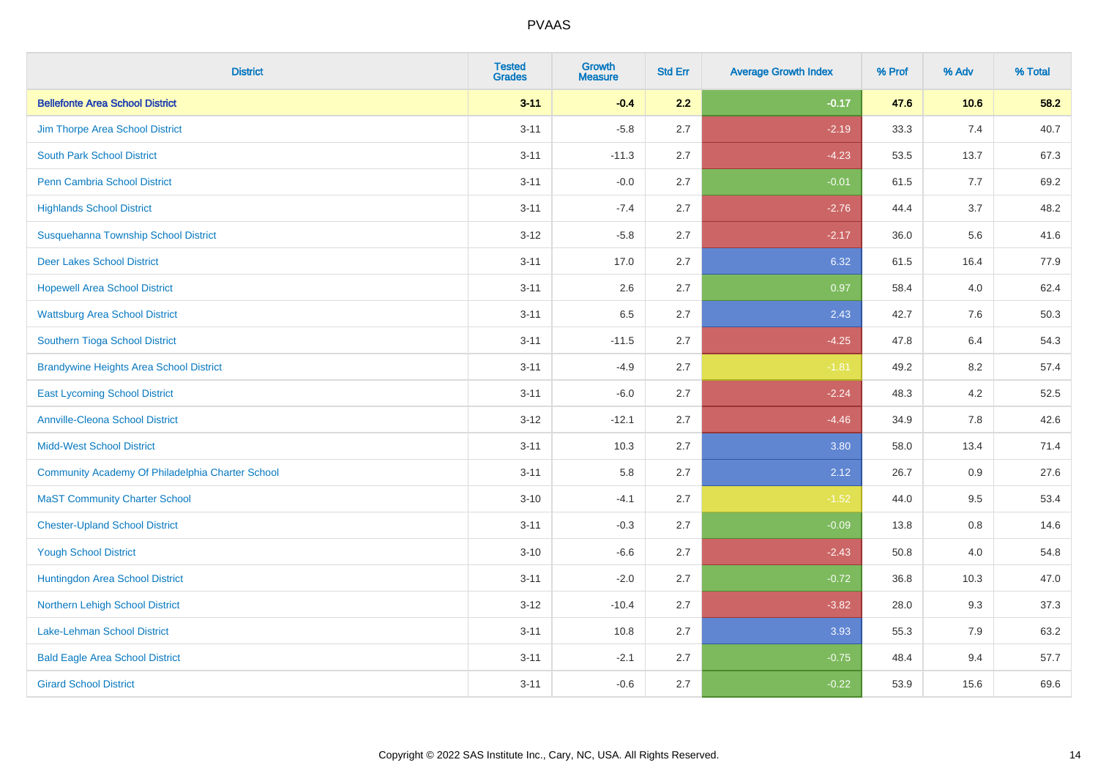| <b>District</b>                                  | <b>Tested</b><br><b>Grades</b> | <b>Growth</b><br><b>Measure</b> | <b>Std Err</b> | <b>Average Growth Index</b> | % Prof | % Adv | % Total |
|--------------------------------------------------|--------------------------------|---------------------------------|----------------|-----------------------------|--------|-------|---------|
| <b>Bellefonte Area School District</b>           | $3 - 11$                       | $-0.4$                          | 2.2            | $-0.17$                     | 47.6   | 10.6  | 58.2    |
| Jim Thorpe Area School District                  | $3 - 11$                       | $-5.8$                          | 2.7            | $-2.19$                     | 33.3   | 7.4   | 40.7    |
| <b>South Park School District</b>                | $3 - 11$                       | $-11.3$                         | 2.7            | $-4.23$                     | 53.5   | 13.7  | 67.3    |
| Penn Cambria School District                     | $3 - 11$                       | $-0.0$                          | 2.7            | $-0.01$                     | 61.5   | 7.7   | 69.2    |
| <b>Highlands School District</b>                 | $3 - 11$                       | $-7.4$                          | 2.7            | $-2.76$                     | 44.4   | 3.7   | 48.2    |
| Susquehanna Township School District             | $3 - 12$                       | $-5.8$                          | 2.7            | $-2.17$                     | 36.0   | 5.6   | 41.6    |
| <b>Deer Lakes School District</b>                | $3 - 11$                       | 17.0                            | 2.7            | 6.32                        | 61.5   | 16.4  | 77.9    |
| <b>Hopewell Area School District</b>             | $3 - 11$                       | 2.6                             | 2.7            | 0.97                        | 58.4   | 4.0   | 62.4    |
| <b>Wattsburg Area School District</b>            | $3 - 11$                       | 6.5                             | 2.7            | 2.43                        | 42.7   | 7.6   | 50.3    |
| Southern Tioga School District                   | $3 - 11$                       | $-11.5$                         | 2.7            | $-4.25$                     | 47.8   | 6.4   | 54.3    |
| <b>Brandywine Heights Area School District</b>   | $3 - 11$                       | $-4.9$                          | 2.7            | $-1.81$                     | 49.2   | 8.2   | 57.4    |
| <b>East Lycoming School District</b>             | $3 - 11$                       | $-6.0$                          | 2.7            | $-2.24$                     | 48.3   | 4.2   | 52.5    |
| <b>Annville-Cleona School District</b>           | $3 - 12$                       | $-12.1$                         | 2.7            | $-4.46$                     | 34.9   | 7.8   | 42.6    |
| <b>Midd-West School District</b>                 | $3 - 11$                       | 10.3                            | 2.7            | 3.80                        | 58.0   | 13.4  | 71.4    |
| Community Academy Of Philadelphia Charter School | $3 - 11$                       | 5.8                             | 2.7            | 2.12                        | 26.7   | 0.9   | 27.6    |
| <b>MaST Community Charter School</b>             | $3 - 10$                       | $-4.1$                          | 2.7            | $-1.52$                     | 44.0   | 9.5   | 53.4    |
| <b>Chester-Upland School District</b>            | $3 - 11$                       | $-0.3$                          | 2.7            | $-0.09$                     | 13.8   | 0.8   | 14.6    |
| <b>Yough School District</b>                     | $3 - 10$                       | $-6.6$                          | 2.7            | $-2.43$                     | 50.8   | 4.0   | 54.8    |
| Huntingdon Area School District                  | $3 - 11$                       | $-2.0$                          | 2.7            | $-0.72$                     | 36.8   | 10.3  | 47.0    |
| Northern Lehigh School District                  | $3-12$                         | $-10.4$                         | 2.7            | $-3.82$                     | 28.0   | 9.3   | 37.3    |
| <b>Lake-Lehman School District</b>               | $3 - 11$                       | 10.8                            | 2.7            | 3.93                        | 55.3   | 7.9   | 63.2    |
| <b>Bald Eagle Area School District</b>           | $3 - 11$                       | $-2.1$                          | 2.7            | $-0.75$                     | 48.4   | 9.4   | 57.7    |
| <b>Girard School District</b>                    | $3 - 11$                       | $-0.6$                          | 2.7            | $-0.22$                     | 53.9   | 15.6  | 69.6    |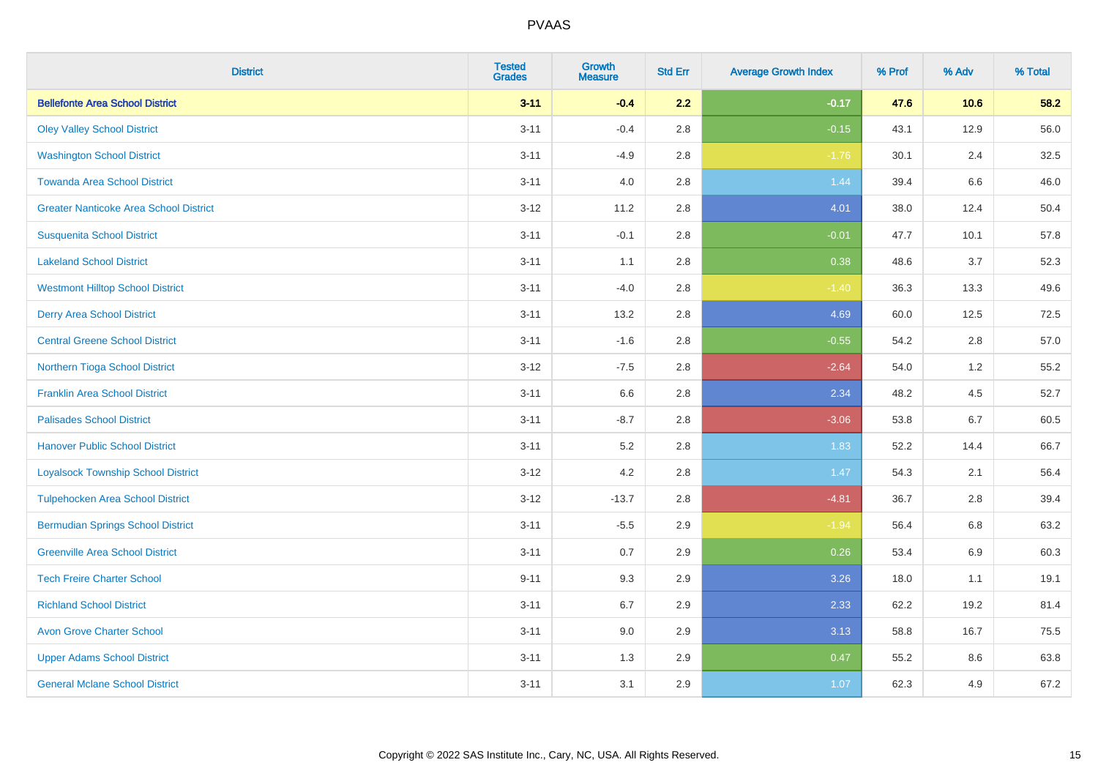| <b>District</b>                               | <b>Tested</b><br><b>Grades</b> | <b>Growth</b><br><b>Measure</b> | <b>Std Err</b> | <b>Average Growth Index</b> | % Prof | % Adv | % Total |
|-----------------------------------------------|--------------------------------|---------------------------------|----------------|-----------------------------|--------|-------|---------|
| <b>Bellefonte Area School District</b>        | $3 - 11$                       | $-0.4$                          | 2.2            | $-0.17$                     | 47.6   | 10.6  | 58.2    |
| <b>Oley Valley School District</b>            | $3 - 11$                       | $-0.4$                          | 2.8            | $-0.15$                     | 43.1   | 12.9  | 56.0    |
| <b>Washington School District</b>             | $3 - 11$                       | $-4.9$                          | 2.8            | $-1.76$                     | 30.1   | 2.4   | 32.5    |
| <b>Towanda Area School District</b>           | $3 - 11$                       | 4.0                             | 2.8            | 1.44                        | 39.4   | 6.6   | 46.0    |
| <b>Greater Nanticoke Area School District</b> | $3 - 12$                       | 11.2                            | 2.8            | 4.01                        | 38.0   | 12.4  | 50.4    |
| <b>Susquenita School District</b>             | $3 - 11$                       | $-0.1$                          | 2.8            | $-0.01$                     | 47.7   | 10.1  | 57.8    |
| <b>Lakeland School District</b>               | $3 - 11$                       | 1.1                             | 2.8            | 0.38                        | 48.6   | 3.7   | 52.3    |
| <b>Westmont Hilltop School District</b>       | $3 - 11$                       | $-4.0$                          | 2.8            | $-1.40$                     | 36.3   | 13.3  | 49.6    |
| <b>Derry Area School District</b>             | $3 - 11$                       | 13.2                            | 2.8            | 4.69                        | 60.0   | 12.5  | 72.5    |
| <b>Central Greene School District</b>         | $3 - 11$                       | $-1.6$                          | 2.8            | $-0.55$                     | 54.2   | 2.8   | 57.0    |
| Northern Tioga School District                | $3 - 12$                       | $-7.5$                          | 2.8            | $-2.64$                     | 54.0   | 1.2   | 55.2    |
| <b>Franklin Area School District</b>          | $3 - 11$                       | 6.6                             | 2.8            | 2.34                        | 48.2   | 4.5   | 52.7    |
| <b>Palisades School District</b>              | $3 - 11$                       | $-8.7$                          | 2.8            | $-3.06$                     | 53.8   | 6.7   | 60.5    |
| <b>Hanover Public School District</b>         | $3 - 11$                       | 5.2                             | 2.8            | 1.83                        | 52.2   | 14.4  | 66.7    |
| <b>Loyalsock Township School District</b>     | $3 - 12$                       | 4.2                             | 2.8            | 1.47                        | 54.3   | 2.1   | 56.4    |
| <b>Tulpehocken Area School District</b>       | $3 - 12$                       | $-13.7$                         | 2.8            | $-4.81$                     | 36.7   | 2.8   | 39.4    |
| <b>Bermudian Springs School District</b>      | $3 - 11$                       | $-5.5$                          | 2.9            | $-1.94$                     | 56.4   | 6.8   | 63.2    |
| <b>Greenville Area School District</b>        | $3 - 11$                       | 0.7                             | 2.9            | 0.26                        | 53.4   | 6.9   | 60.3    |
| <b>Tech Freire Charter School</b>             | $9 - 11$                       | 9.3                             | 2.9            | 3.26                        | 18.0   | 1.1   | 19.1    |
| <b>Richland School District</b>               | $3 - 11$                       | 6.7                             | 2.9            | 2.33                        | 62.2   | 19.2  | 81.4    |
| <b>Avon Grove Charter School</b>              | $3 - 11$                       | 9.0                             | 2.9            | 3.13                        | 58.8   | 16.7  | 75.5    |
| <b>Upper Adams School District</b>            | $3 - 11$                       | 1.3                             | 2.9            | 0.47                        | 55.2   | 8.6   | 63.8    |
| <b>General Mclane School District</b>         | $3 - 11$                       | 3.1                             | 2.9            | 1.07                        | 62.3   | 4.9   | 67.2    |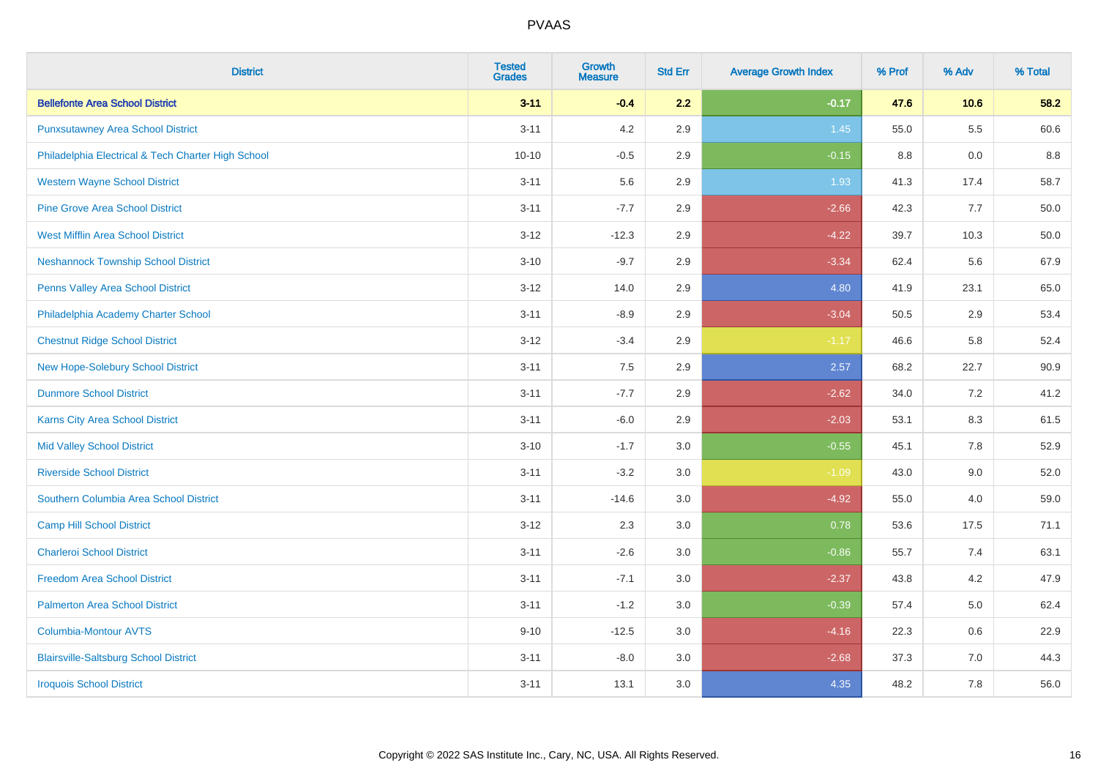| <b>District</b>                                    | <b>Tested</b><br><b>Grades</b> | <b>Growth</b><br><b>Measure</b> | <b>Std Err</b> | <b>Average Growth Index</b> | % Prof | % Adv   | % Total |
|----------------------------------------------------|--------------------------------|---------------------------------|----------------|-----------------------------|--------|---------|---------|
| <b>Bellefonte Area School District</b>             | $3 - 11$                       | $-0.4$                          | 2.2            | $-0.17$                     | 47.6   | 10.6    | 58.2    |
| <b>Punxsutawney Area School District</b>           | $3 - 11$                       | 4.2                             | 2.9            | 1.45                        | 55.0   | $5.5\,$ | 60.6    |
| Philadelphia Electrical & Tech Charter High School | $10 - 10$                      | $-0.5$                          | 2.9            | $-0.15$                     | 8.8    | 0.0     | 8.8     |
| <b>Western Wayne School District</b>               | $3 - 11$                       | 5.6                             | 2.9            | 1.93                        | 41.3   | 17.4    | 58.7    |
| <b>Pine Grove Area School District</b>             | $3 - 11$                       | $-7.7$                          | 2.9            | $-2.66$                     | 42.3   | 7.7     | 50.0    |
| <b>West Mifflin Area School District</b>           | $3 - 12$                       | $-12.3$                         | 2.9            | $-4.22$                     | 39.7   | 10.3    | 50.0    |
| <b>Neshannock Township School District</b>         | $3 - 10$                       | $-9.7$                          | 2.9            | $-3.34$                     | 62.4   | 5.6     | 67.9    |
| <b>Penns Valley Area School District</b>           | $3 - 12$                       | 14.0                            | 2.9            | 4.80                        | 41.9   | 23.1    | 65.0    |
| Philadelphia Academy Charter School                | $3 - 11$                       | $-8.9$                          | 2.9            | $-3.04$                     | 50.5   | 2.9     | 53.4    |
| <b>Chestnut Ridge School District</b>              | $3 - 12$                       | $-3.4$                          | 2.9            | $-1.17$                     | 46.6   | 5.8     | 52.4    |
| New Hope-Solebury School District                  | $3 - 11$                       | 7.5                             | 2.9            | 2.57                        | 68.2   | 22.7    | 90.9    |
| <b>Dunmore School District</b>                     | $3 - 11$                       | $-7.7$                          | 2.9            | $-2.62$                     | 34.0   | 7.2     | 41.2    |
| Karns City Area School District                    | $3 - 11$                       | $-6.0$                          | 2.9            | $-2.03$                     | 53.1   | $8.3\,$ | 61.5    |
| <b>Mid Valley School District</b>                  | $3 - 10$                       | $-1.7$                          | 3.0            | $-0.55$                     | 45.1   | $7.8\,$ | 52.9    |
| <b>Riverside School District</b>                   | $3 - 11$                       | $-3.2$                          | 3.0            | $-1.09$                     | 43.0   | 9.0     | 52.0    |
| Southern Columbia Area School District             | $3 - 11$                       | $-14.6$                         | 3.0            | $-4.92$                     | 55.0   | 4.0     | 59.0    |
| <b>Camp Hill School District</b>                   | $3 - 12$                       | 2.3                             | 3.0            | 0.78                        | 53.6   | 17.5    | 71.1    |
| <b>Charleroi School District</b>                   | $3 - 11$                       | $-2.6$                          | 3.0            | $-0.86$                     | 55.7   | 7.4     | 63.1    |
| <b>Freedom Area School District</b>                | $3 - 11$                       | $-7.1$                          | 3.0            | $-2.37$                     | 43.8   | 4.2     | 47.9    |
| <b>Palmerton Area School District</b>              | $3 - 11$                       | $-1.2$                          | 3.0            | $-0.39$                     | 57.4   | 5.0     | 62.4    |
| <b>Columbia-Montour AVTS</b>                       | $9 - 10$                       | $-12.5$                         | 3.0            | $-4.16$                     | 22.3   | 0.6     | 22.9    |
| <b>Blairsville-Saltsburg School District</b>       | $3 - 11$                       | $-8.0$                          | 3.0            | $-2.68$                     | 37.3   | 7.0     | 44.3    |
| <b>Iroquois School District</b>                    | $3 - 11$                       | 13.1                            | 3.0            | 4.35                        | 48.2   | 7.8     | 56.0    |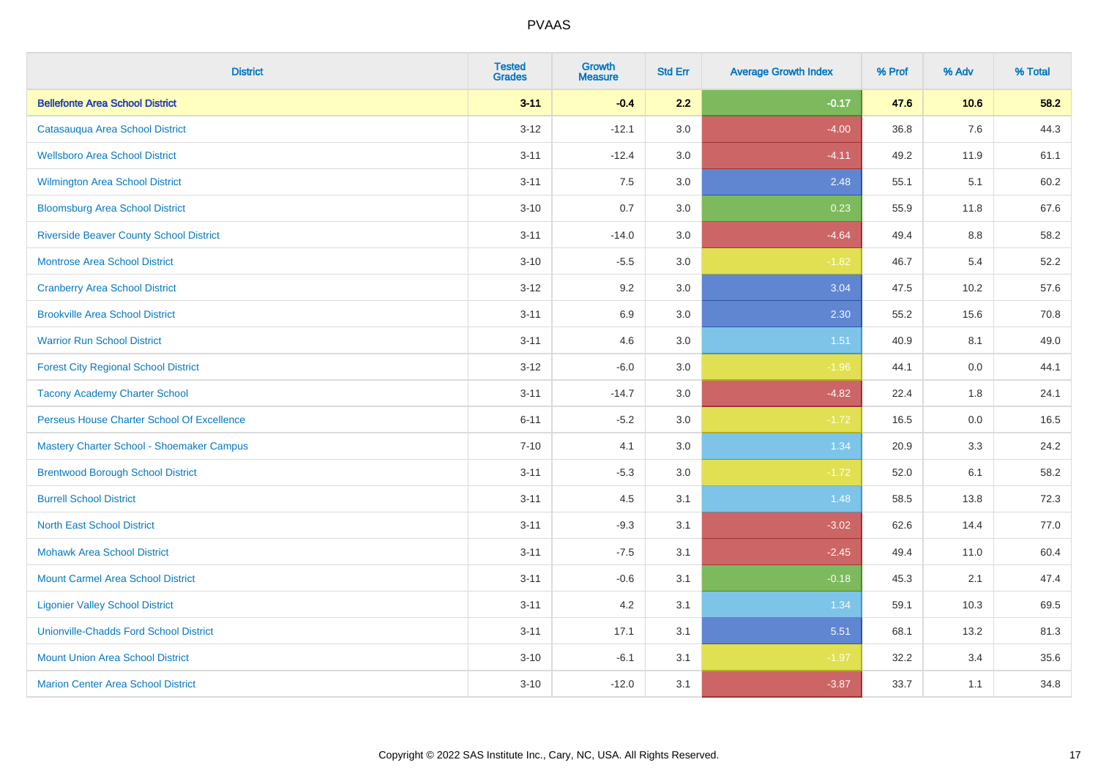| <b>District</b>                                | <b>Tested</b><br><b>Grades</b> | <b>Growth</b><br><b>Measure</b> | <b>Std Err</b> | <b>Average Growth Index</b> | % Prof | % Adv   | % Total |
|------------------------------------------------|--------------------------------|---------------------------------|----------------|-----------------------------|--------|---------|---------|
| <b>Bellefonte Area School District</b>         | $3 - 11$                       | $-0.4$                          | 2.2            | $-0.17$                     | 47.6   | 10.6    | 58.2    |
| Catasauqua Area School District                | $3 - 12$                       | $-12.1$                         | 3.0            | $-4.00$                     | 36.8   | 7.6     | 44.3    |
| <b>Wellsboro Area School District</b>          | $3 - 11$                       | $-12.4$                         | 3.0            | $-4.11$                     | 49.2   | 11.9    | 61.1    |
| <b>Wilmington Area School District</b>         | $3 - 11$                       | 7.5                             | 3.0            | 2.48                        | 55.1   | 5.1     | 60.2    |
| <b>Bloomsburg Area School District</b>         | $3 - 10$                       | 0.7                             | 3.0            | 0.23                        | 55.9   | 11.8    | 67.6    |
| <b>Riverside Beaver County School District</b> | $3 - 11$                       | $-14.0$                         | 3.0            | $-4.64$                     | 49.4   | 8.8     | 58.2    |
| <b>Montrose Area School District</b>           | $3 - 10$                       | $-5.5$                          | 3.0            | $-1.82$                     | 46.7   | 5.4     | 52.2    |
| <b>Cranberry Area School District</b>          | $3 - 12$                       | 9.2                             | 3.0            | 3.04                        | 47.5   | 10.2    | 57.6    |
| <b>Brookville Area School District</b>         | $3 - 11$                       | 6.9                             | 3.0            | 2.30                        | 55.2   | 15.6    | 70.8    |
| <b>Warrior Run School District</b>             | $3 - 11$                       | 4.6                             | 3.0            | 1.51                        | 40.9   | 8.1     | 49.0    |
| <b>Forest City Regional School District</b>    | $3 - 12$                       | $-6.0$                          | 3.0            | $-1.96$                     | 44.1   | 0.0     | 44.1    |
| <b>Tacony Academy Charter School</b>           | $3 - 11$                       | $-14.7$                         | 3.0            | $-4.82$                     | 22.4   | 1.8     | 24.1    |
| Perseus House Charter School Of Excellence     | $6 - 11$                       | $-5.2$                          | 3.0            | $-1.72$                     | 16.5   | $0.0\,$ | 16.5    |
| Mastery Charter School - Shoemaker Campus      | $7 - 10$                       | 4.1                             | 3.0            | 1.34                        | 20.9   | 3.3     | 24.2    |
| <b>Brentwood Borough School District</b>       | $3 - 11$                       | $-5.3$                          | 3.0            | $-1.72$                     | 52.0   | 6.1     | 58.2    |
| <b>Burrell School District</b>                 | $3 - 11$                       | 4.5                             | 3.1            | 1.48                        | 58.5   | 13.8    | 72.3    |
| <b>North East School District</b>              | $3 - 11$                       | $-9.3$                          | 3.1            | $-3.02$                     | 62.6   | 14.4    | 77.0    |
| <b>Mohawk Area School District</b>             | $3 - 11$                       | $-7.5$                          | 3.1            | $-2.45$                     | 49.4   | 11.0    | 60.4    |
| <b>Mount Carmel Area School District</b>       | $3 - 11$                       | $-0.6$                          | 3.1            | $-0.18$                     | 45.3   | 2.1     | 47.4    |
| <b>Ligonier Valley School District</b>         | $3 - 11$                       | 4.2                             | 3.1            | 1.34                        | 59.1   | 10.3    | 69.5    |
| <b>Unionville-Chadds Ford School District</b>  | $3 - 11$                       | 17.1                            | 3.1            | 5.51                        | 68.1   | 13.2    | 81.3    |
| <b>Mount Union Area School District</b>        | $3 - 10$                       | $-6.1$                          | 3.1            | $-1.97$                     | 32.2   | 3.4     | 35.6    |
| <b>Marion Center Area School District</b>      | $3 - 10$                       | $-12.0$                         | 3.1            | $-3.87$                     | 33.7   | 1.1     | 34.8    |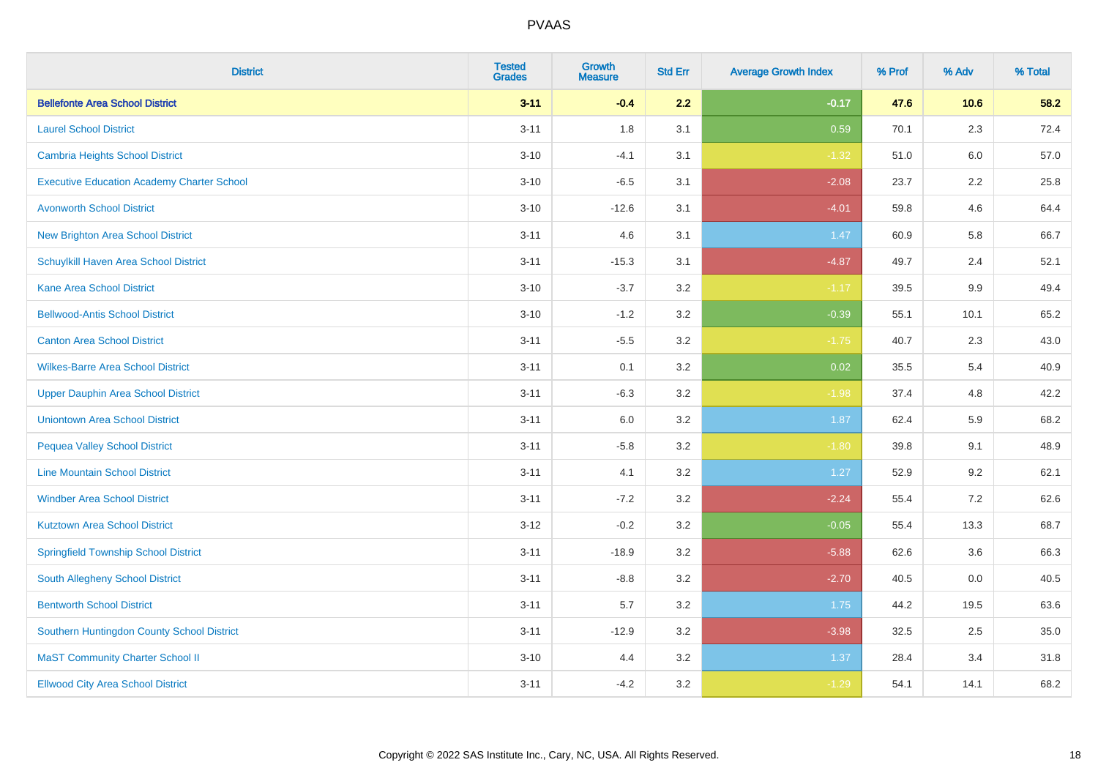| <b>District</b>                                   | <b>Tested</b><br><b>Grades</b> | Growth<br><b>Measure</b> | <b>Std Err</b> | <b>Average Growth Index</b> | % Prof | % Adv   | % Total |
|---------------------------------------------------|--------------------------------|--------------------------|----------------|-----------------------------|--------|---------|---------|
| <b>Bellefonte Area School District</b>            | $3 - 11$                       | $-0.4$                   | 2.2            | $-0.17$                     | 47.6   | 10.6    | 58.2    |
| <b>Laurel School District</b>                     | $3 - 11$                       | 1.8                      | 3.1            | 0.59                        | 70.1   | 2.3     | 72.4    |
| Cambria Heights School District                   | $3 - 10$                       | $-4.1$                   | 3.1            | $-1.32$                     | 51.0   | 6.0     | 57.0    |
| <b>Executive Education Academy Charter School</b> | $3 - 10$                       | $-6.5$                   | 3.1            | $-2.08$                     | 23.7   | $2.2\,$ | 25.8    |
| <b>Avonworth School District</b>                  | $3 - 10$                       | $-12.6$                  | 3.1            | $-4.01$                     | 59.8   | 4.6     | 64.4    |
| <b>New Brighton Area School District</b>          | $3 - 11$                       | 4.6                      | 3.1            | 1.47                        | 60.9   | 5.8     | 66.7    |
| Schuylkill Haven Area School District             | $3 - 11$                       | $-15.3$                  | 3.1            | $-4.87$                     | 49.7   | 2.4     | 52.1    |
| <b>Kane Area School District</b>                  | $3 - 10$                       | $-3.7$                   | 3.2            | $-1.17$                     | 39.5   | 9.9     | 49.4    |
| <b>Bellwood-Antis School District</b>             | $3 - 10$                       | $-1.2$                   | 3.2            | $-0.39$                     | 55.1   | 10.1    | 65.2    |
| <b>Canton Area School District</b>                | $3 - 11$                       | $-5.5$                   | 3.2            | $-1.75$                     | 40.7   | 2.3     | 43.0    |
| <b>Wilkes-Barre Area School District</b>          | $3 - 11$                       | 0.1                      | 3.2            | 0.02                        | 35.5   | 5.4     | 40.9    |
| <b>Upper Dauphin Area School District</b>         | $3 - 11$                       | $-6.3$                   | 3.2            | $-1.98$                     | 37.4   | 4.8     | 42.2    |
| <b>Uniontown Area School District</b>             | $3 - 11$                       | 6.0                      | $3.2\,$        | 1.87                        | 62.4   | 5.9     | 68.2    |
| <b>Pequea Valley School District</b>              | $3 - 11$                       | $-5.8$                   | 3.2            | $-1.80$                     | 39.8   | 9.1     | 48.9    |
| <b>Line Mountain School District</b>              | $3 - 11$                       | 4.1                      | 3.2            | 1.27                        | 52.9   | 9.2     | 62.1    |
| <b>Windber Area School District</b>               | $3 - 11$                       | $-7.2$                   | 3.2            | $-2.24$                     | 55.4   | 7.2     | 62.6    |
| <b>Kutztown Area School District</b>              | $3 - 12$                       | $-0.2$                   | 3.2            | $-0.05$                     | 55.4   | 13.3    | 68.7    |
| <b>Springfield Township School District</b>       | $3 - 11$                       | $-18.9$                  | 3.2            | $-5.88$                     | 62.6   | 3.6     | 66.3    |
| South Allegheny School District                   | $3 - 11$                       | $-8.8$                   | 3.2            | $-2.70$                     | 40.5   | 0.0     | 40.5    |
| <b>Bentworth School District</b>                  | $3 - 11$                       | 5.7                      | 3.2            | 1.75                        | 44.2   | 19.5    | 63.6    |
| Southern Huntingdon County School District        | $3 - 11$                       | $-12.9$                  | 3.2            | $-3.98$                     | 32.5   | 2.5     | 35.0    |
| <b>MaST Community Charter School II</b>           | $3 - 10$                       | 4.4                      | 3.2            | 1.37                        | 28.4   | 3.4     | 31.8    |
| <b>Ellwood City Area School District</b>          | $3 - 11$                       | $-4.2$                   | 3.2            | $-1.29$                     | 54.1   | 14.1    | 68.2    |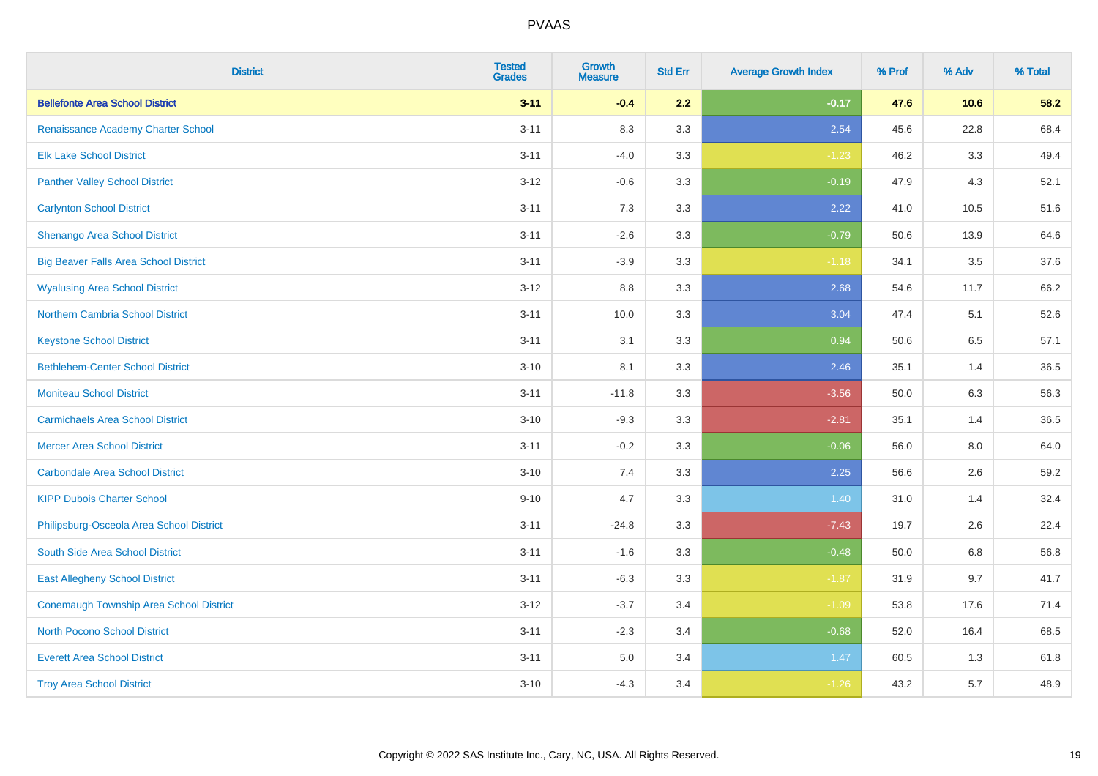| <b>District</b>                              | <b>Tested</b><br><b>Grades</b> | <b>Growth</b><br><b>Measure</b> | <b>Std Err</b> | <b>Average Growth Index</b> | % Prof | % Adv | % Total |
|----------------------------------------------|--------------------------------|---------------------------------|----------------|-----------------------------|--------|-------|---------|
| <b>Bellefonte Area School District</b>       | $3 - 11$                       | $-0.4$                          | 2.2            | $-0.17$                     | 47.6   | 10.6  | 58.2    |
| Renaissance Academy Charter School           | $3 - 11$                       | 8.3                             | 3.3            | 2.54                        | 45.6   | 22.8  | 68.4    |
| <b>Elk Lake School District</b>              | $3 - 11$                       | $-4.0$                          | 3.3            | $-1.23$                     | 46.2   | 3.3   | 49.4    |
| <b>Panther Valley School District</b>        | $3 - 12$                       | $-0.6$                          | 3.3            | $-0.19$                     | 47.9   | 4.3   | 52.1    |
| <b>Carlynton School District</b>             | $3 - 11$                       | 7.3                             | 3.3            | 2.22                        | 41.0   | 10.5  | 51.6    |
| Shenango Area School District                | $3 - 11$                       | $-2.6$                          | 3.3            | $-0.79$                     | 50.6   | 13.9  | 64.6    |
| <b>Big Beaver Falls Area School District</b> | $3 - 11$                       | $-3.9$                          | 3.3            | $-1.18$                     | 34.1   | 3.5   | 37.6    |
| <b>Wyalusing Area School District</b>        | $3 - 12$                       | 8.8                             | 3.3            | 2.68                        | 54.6   | 11.7  | 66.2    |
| <b>Northern Cambria School District</b>      | $3 - 11$                       | 10.0                            | 3.3            | 3.04                        | 47.4   | 5.1   | 52.6    |
| <b>Keystone School District</b>              | $3 - 11$                       | 3.1                             | 3.3            | 0.94                        | 50.6   | 6.5   | 57.1    |
| <b>Bethlehem-Center School District</b>      | $3 - 10$                       | 8.1                             | 3.3            | 2.46                        | 35.1   | 1.4   | 36.5    |
| <b>Moniteau School District</b>              | $3 - 11$                       | $-11.8$                         | 3.3            | $-3.56$                     | 50.0   | 6.3   | 56.3    |
| <b>Carmichaels Area School District</b>      | $3 - 10$                       | $-9.3$                          | 3.3            | $-2.81$                     | 35.1   | 1.4   | 36.5    |
| <b>Mercer Area School District</b>           | $3 - 11$                       | $-0.2$                          | 3.3            | $-0.06$                     | 56.0   | 8.0   | 64.0    |
| <b>Carbondale Area School District</b>       | $3 - 10$                       | 7.4                             | 3.3            | 2.25                        | 56.6   | 2.6   | 59.2    |
| <b>KIPP Dubois Charter School</b>            | $9 - 10$                       | 4.7                             | 3.3            | 1.40                        | 31.0   | 1.4   | 32.4    |
| Philipsburg-Osceola Area School District     | $3 - 11$                       | $-24.8$                         | 3.3            | $-7.43$                     | 19.7   | 2.6   | 22.4    |
| South Side Area School District              | $3 - 11$                       | $-1.6$                          | 3.3            | $-0.48$                     | 50.0   | 6.8   | 56.8    |
| <b>East Allegheny School District</b>        | $3 - 11$                       | $-6.3$                          | 3.3            | $-1.87$                     | 31.9   | 9.7   | 41.7    |
| Conemaugh Township Area School District      | $3 - 12$                       | $-3.7$                          | 3.4            | $-1.09$                     | 53.8   | 17.6  | 71.4    |
| <b>North Pocono School District</b>          | $3 - 11$                       | $-2.3$                          | 3.4            | $-0.68$                     | 52.0   | 16.4  | 68.5    |
| <b>Everett Area School District</b>          | $3 - 11$                       | $5.0\,$                         | 3.4            | 1.47                        | 60.5   | 1.3   | 61.8    |
| <b>Troy Area School District</b>             | $3 - 10$                       | $-4.3$                          | 3.4            | $-1.26$                     | 43.2   | 5.7   | 48.9    |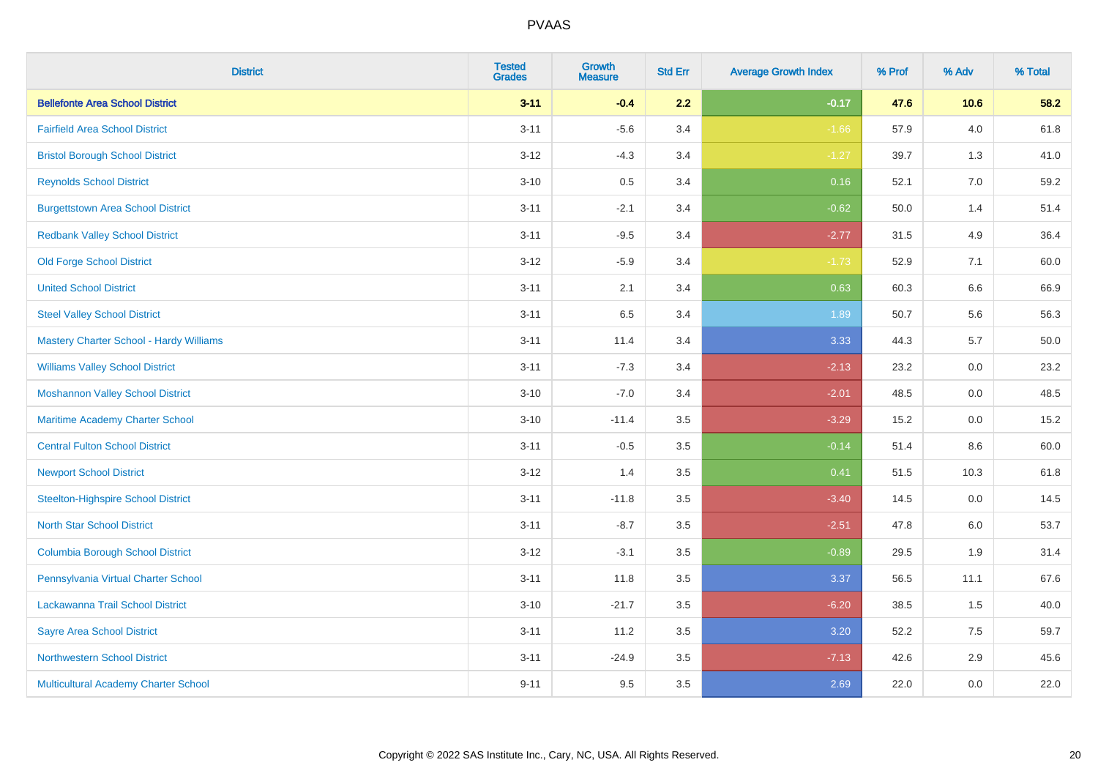| <b>District</b>                           | <b>Tested</b><br><b>Grades</b> | <b>Growth</b><br><b>Measure</b> | <b>Std Err</b> | <b>Average Growth Index</b> | % Prof | % Adv   | % Total  |
|-------------------------------------------|--------------------------------|---------------------------------|----------------|-----------------------------|--------|---------|----------|
| <b>Bellefonte Area School District</b>    | $3 - 11$                       | $-0.4$                          | 2.2            | $-0.17$                     | 47.6   | 10.6    | 58.2     |
| <b>Fairfield Area School District</b>     | $3 - 11$                       | $-5.6$                          | 3.4            | $-1.66$                     | 57.9   | 4.0     | 61.8     |
| <b>Bristol Borough School District</b>    | $3 - 12$                       | $-4.3$                          | 3.4            | $-1.27$                     | 39.7   | 1.3     | 41.0     |
| <b>Reynolds School District</b>           | $3 - 10$                       | 0.5                             | 3.4            | 0.16                        | 52.1   | 7.0     | 59.2     |
| <b>Burgettstown Area School District</b>  | $3 - 11$                       | $-2.1$                          | 3.4            | $-0.62$                     | 50.0   | 1.4     | 51.4     |
| <b>Redbank Valley School District</b>     | $3 - 11$                       | $-9.5$                          | 3.4            | $-2.77$                     | 31.5   | 4.9     | 36.4     |
| <b>Old Forge School District</b>          | $3 - 12$                       | $-5.9$                          | 3.4            | $-1.73$                     | 52.9   | 7.1     | 60.0     |
| <b>United School District</b>             | $3 - 11$                       | 2.1                             | 3.4            | 0.63                        | 60.3   | 6.6     | 66.9     |
| <b>Steel Valley School District</b>       | $3 - 11$                       | 6.5                             | 3.4            | 1.89                        | 50.7   | 5.6     | 56.3     |
| Mastery Charter School - Hardy Williams   | $3 - 11$                       | 11.4                            | 3.4            | 3.33                        | 44.3   | 5.7     | $50.0\,$ |
| <b>Williams Valley School District</b>    | $3 - 11$                       | $-7.3$                          | 3.4            | $-2.13$                     | 23.2   | 0.0     | 23.2     |
| <b>Moshannon Valley School District</b>   | $3 - 10$                       | $-7.0$                          | 3.4            | $-2.01$                     | 48.5   | 0.0     | 48.5     |
| Maritime Academy Charter School           | $3 - 10$                       | $-11.4$                         | 3.5            | $-3.29$                     | 15.2   | 0.0     | 15.2     |
| <b>Central Fulton School District</b>     | $3 - 11$                       | $-0.5$                          | 3.5            | $-0.14$                     | 51.4   | $8.6\,$ | 60.0     |
| <b>Newport School District</b>            | $3 - 12$                       | 1.4                             | 3.5            | 0.41                        | 51.5   | 10.3    | 61.8     |
| <b>Steelton-Highspire School District</b> | $3 - 11$                       | $-11.8$                         | 3.5            | $-3.40$                     | 14.5   | 0.0     | 14.5     |
| <b>North Star School District</b>         | $3 - 11$                       | $-8.7$                          | 3.5            | $-2.51$                     | 47.8   | 6.0     | 53.7     |
| <b>Columbia Borough School District</b>   | $3 - 12$                       | $-3.1$                          | 3.5            | $-0.89$                     | 29.5   | 1.9     | 31.4     |
| Pennsylvania Virtual Charter School       | $3 - 11$                       | 11.8                            | 3.5            | 3.37                        | 56.5   | 11.1    | 67.6     |
| Lackawanna Trail School District          | $3 - 10$                       | $-21.7$                         | 3.5            | $-6.20$                     | 38.5   | 1.5     | 40.0     |
| <b>Sayre Area School District</b>         | $3 - 11$                       | 11.2                            | 3.5            | 3.20                        | 52.2   | 7.5     | 59.7     |
| <b>Northwestern School District</b>       | $3 - 11$                       | $-24.9$                         | 3.5            | $-7.13$                     | 42.6   | 2.9     | 45.6     |
| Multicultural Academy Charter School      | $9 - 11$                       | 9.5                             | 3.5            | 2.69                        | 22.0   | 0.0     | 22.0     |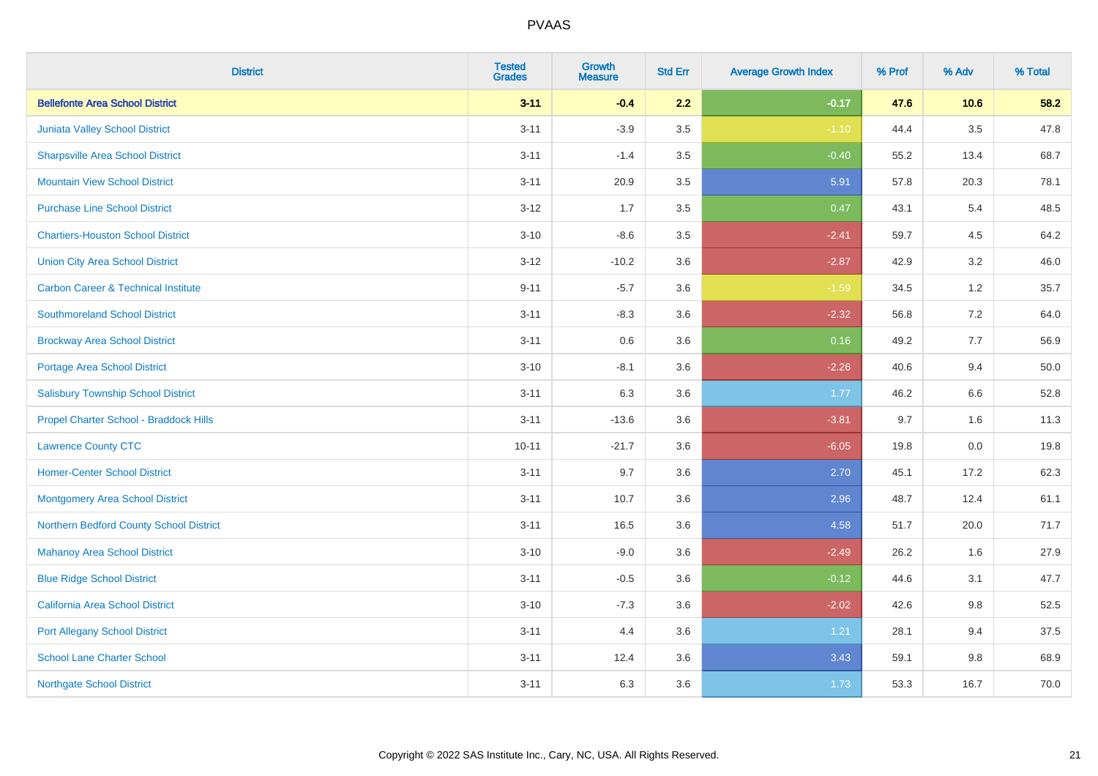| <b>District</b>                                | <b>Tested</b><br><b>Grades</b> | <b>Growth</b><br><b>Measure</b> | <b>Std Err</b> | <b>Average Growth Index</b> | % Prof | % Adv   | % Total |
|------------------------------------------------|--------------------------------|---------------------------------|----------------|-----------------------------|--------|---------|---------|
| <b>Bellefonte Area School District</b>         | $3 - 11$                       | $-0.4$                          | 2.2            | $-0.17$                     | 47.6   | 10.6    | 58.2    |
| Juniata Valley School District                 | $3 - 11$                       | $-3.9$                          | 3.5            | $-1.10$                     | 44.4   | $3.5\,$ | 47.8    |
| <b>Sharpsville Area School District</b>        | $3 - 11$                       | $-1.4$                          | 3.5            | $-0.40$                     | 55.2   | 13.4    | 68.7    |
| <b>Mountain View School District</b>           | $3 - 11$                       | 20.9                            | 3.5            | 5.91                        | 57.8   | 20.3    | 78.1    |
| <b>Purchase Line School District</b>           | $3-12$                         | 1.7                             | 3.5            | 0.47                        | 43.1   | 5.4     | 48.5    |
| <b>Chartiers-Houston School District</b>       | $3 - 10$                       | $-8.6$                          | 3.5            | $-2.41$                     | 59.7   | 4.5     | 64.2    |
| <b>Union City Area School District</b>         | $3 - 12$                       | $-10.2$                         | 3.6            | $-2.87$                     | 42.9   | 3.2     | 46.0    |
| <b>Carbon Career &amp; Technical Institute</b> | $9 - 11$                       | $-5.7$                          | 3.6            | $-1.59$                     | 34.5   | 1.2     | 35.7    |
| <b>Southmoreland School District</b>           | $3 - 11$                       | $-8.3$                          | 3.6            | $-2.32$                     | 56.8   | 7.2     | 64.0    |
| <b>Brockway Area School District</b>           | $3 - 11$                       | 0.6                             | 3.6            | 0.16                        | 49.2   | 7.7     | 56.9    |
| Portage Area School District                   | $3 - 10$                       | $-8.1$                          | 3.6            | $-2.26$                     | 40.6   | 9.4     | 50.0    |
| <b>Salisbury Township School District</b>      | $3 - 11$                       | 6.3                             | 3.6            | 1.77                        | 46.2   | 6.6     | 52.8    |
| Propel Charter School - Braddock Hills         | $3 - 11$                       | $-13.6$                         | 3.6            | $-3.81$                     | 9.7    | 1.6     | 11.3    |
| <b>Lawrence County CTC</b>                     | $10 - 11$                      | $-21.7$                         | 3.6            | $-6.05$                     | 19.8   | $0.0\,$ | 19.8    |
| <b>Homer-Center School District</b>            | $3 - 11$                       | 9.7                             | 3.6            | 2.70                        | 45.1   | 17.2    | 62.3    |
| <b>Montgomery Area School District</b>         | $3 - 11$                       | 10.7                            | 3.6            | 2.96                        | 48.7   | 12.4    | 61.1    |
| Northern Bedford County School District        | $3 - 11$                       | 16.5                            | 3.6            | 4.58                        | 51.7   | 20.0    | 71.7    |
| <b>Mahanoy Area School District</b>            | $3 - 10$                       | $-9.0$                          | 3.6            | $-2.49$                     | 26.2   | 1.6     | 27.9    |
| <b>Blue Ridge School District</b>              | $3 - 11$                       | $-0.5$                          | 3.6            | $-0.12$                     | 44.6   | 3.1     | 47.7    |
| California Area School District                | $3 - 10$                       | $-7.3$                          | 3.6            | $-2.02$                     | 42.6   | 9.8     | 52.5    |
| <b>Port Allegany School District</b>           | $3 - 11$                       | 4.4                             | 3.6            | 1.21                        | 28.1   | 9.4     | 37.5    |
| <b>School Lane Charter School</b>              | $3 - 11$                       | 12.4                            | 3.6            | 3.43                        | 59.1   | 9.8     | 68.9    |
| <b>Northgate School District</b>               | $3 - 11$                       | 6.3                             | 3.6            | 1.73                        | 53.3   | 16.7    | 70.0    |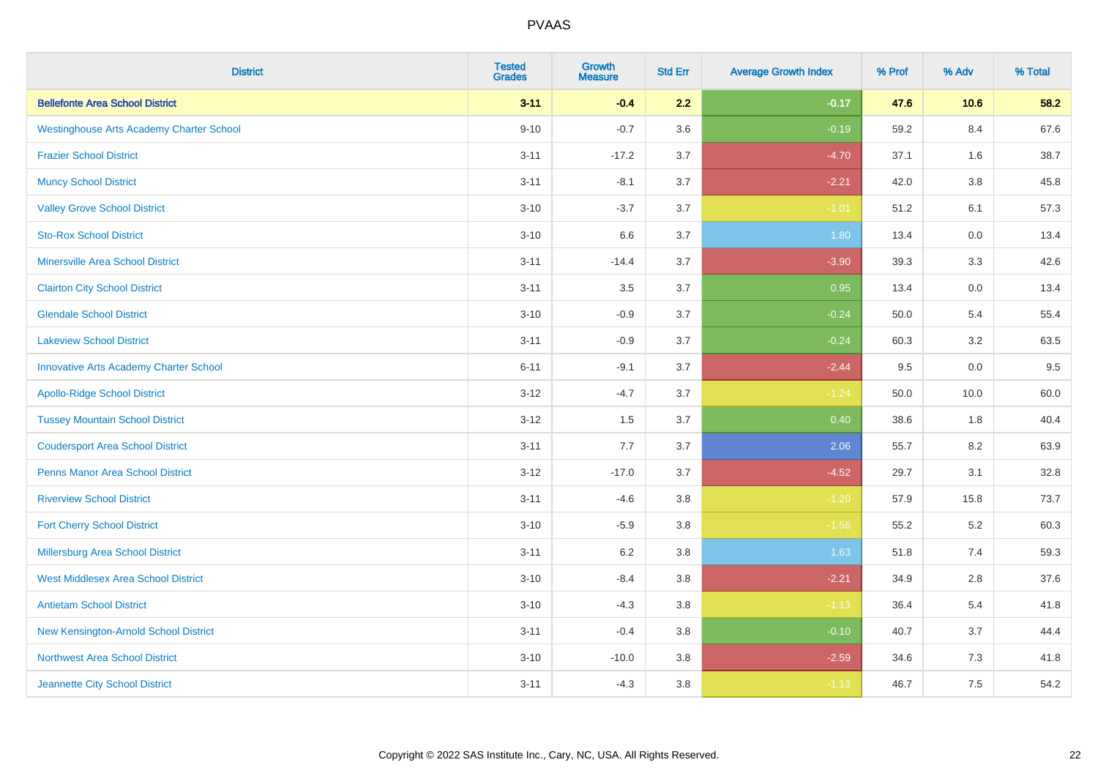| <b>District</b>                                 | <b>Tested</b><br><b>Grades</b> | Growth<br><b>Measure</b> | <b>Std Err</b> | <b>Average Growth Index</b> | % Prof | % Adv   | % Total |
|-------------------------------------------------|--------------------------------|--------------------------|----------------|-----------------------------|--------|---------|---------|
| <b>Bellefonte Area School District</b>          | $3 - 11$                       | $-0.4$                   | 2.2            | $-0.17$                     | 47.6   | 10.6    | 58.2    |
| <b>Westinghouse Arts Academy Charter School</b> | $9 - 10$                       | $-0.7$                   | 3.6            | $-0.19$                     | 59.2   | 8.4     | 67.6    |
| <b>Frazier School District</b>                  | $3 - 11$                       | $-17.2$                  | 3.7            | $-4.70$                     | 37.1   | 1.6     | 38.7    |
| <b>Muncy School District</b>                    | $3 - 11$                       | $-8.1$                   | 3.7            | $-2.21$                     | 42.0   | $3.8\,$ | 45.8    |
| <b>Valley Grove School District</b>             | $3 - 10$                       | $-3.7$                   | 3.7            | $-1.01$                     | 51.2   | 6.1     | 57.3    |
| <b>Sto-Rox School District</b>                  | $3 - 10$                       | 6.6                      | 3.7            | 1.80                        | 13.4   | 0.0     | 13.4    |
| <b>Minersville Area School District</b>         | $3 - 11$                       | $-14.4$                  | 3.7            | $-3.90$                     | 39.3   | 3.3     | 42.6    |
| <b>Clairton City School District</b>            | $3 - 11$                       | 3.5                      | 3.7            | 0.95                        | 13.4   | 0.0     | 13.4    |
| <b>Glendale School District</b>                 | $3 - 10$                       | $-0.9$                   | 3.7            | $-0.24$                     | 50.0   | 5.4     | 55.4    |
| <b>Lakeview School District</b>                 | $3 - 11$                       | $-0.9$                   | 3.7            | $-0.24$                     | 60.3   | 3.2     | 63.5    |
| <b>Innovative Arts Academy Charter School</b>   | $6 - 11$                       | $-9.1$                   | 3.7            | $-2.44$                     | 9.5    | 0.0     | 9.5     |
| <b>Apollo-Ridge School District</b>             | $3 - 12$                       | $-4.7$                   | 3.7            | $-1.24$                     | 50.0   | 10.0    | 60.0    |
| <b>Tussey Mountain School District</b>          | $3 - 12$                       | 1.5                      | 3.7            | 0.40                        | 38.6   | 1.8     | 40.4    |
| <b>Coudersport Area School District</b>         | $3 - 11$                       | 7.7                      | 3.7            | 2.06                        | 55.7   | 8.2     | 63.9    |
| <b>Penns Manor Area School District</b>         | $3 - 12$                       | $-17.0$                  | 3.7            | $-4.52$                     | 29.7   | 3.1     | 32.8    |
| <b>Riverview School District</b>                | $3 - 11$                       | $-4.6$                   | 3.8            | $-1.20$                     | 57.9   | 15.8    | 73.7    |
| <b>Fort Cherry School District</b>              | $3 - 10$                       | $-5.9$                   | 3.8            | $-1.56$                     | 55.2   | 5.2     | 60.3    |
| Millersburg Area School District                | $3 - 11$                       | $6.2\,$                  | 3.8            | 1.63                        | 51.8   | 7.4     | 59.3    |
| <b>West Middlesex Area School District</b>      | $3 - 10$                       | $-8.4$                   | 3.8            | $-2.21$                     | 34.9   | 2.8     | 37.6    |
| <b>Antietam School District</b>                 | $3 - 10$                       | $-4.3$                   | $3.8\,$        | $-1.13$                     | 36.4   | 5.4     | 41.8    |
| New Kensington-Arnold School District           | $3 - 11$                       | $-0.4$                   | 3.8            | $-0.10$                     | 40.7   | 3.7     | 44.4    |
| Northwest Area School District                  | $3 - 10$                       | $-10.0$                  | 3.8            | $-2.59$                     | 34.6   | 7.3     | 41.8    |
| Jeannette City School District                  | $3 - 11$                       | $-4.3$                   | 3.8            | $-1.13$                     | 46.7   | 7.5     | 54.2    |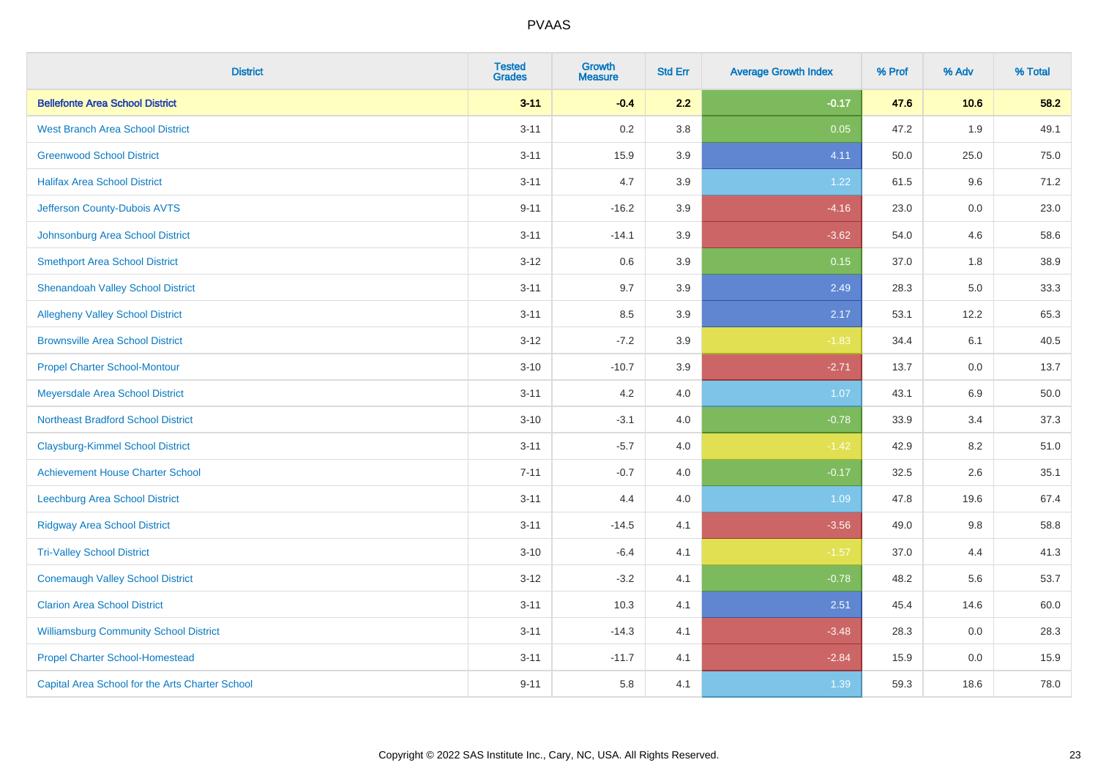| <b>District</b>                                 | <b>Tested</b><br><b>Grades</b> | <b>Growth</b><br><b>Measure</b> | <b>Std Err</b> | <b>Average Growth Index</b> | % Prof | % Adv | % Total |
|-------------------------------------------------|--------------------------------|---------------------------------|----------------|-----------------------------|--------|-------|---------|
| <b>Bellefonte Area School District</b>          | $3 - 11$                       | $-0.4$                          | 2.2            | $-0.17$                     | 47.6   | 10.6  | 58.2    |
| <b>West Branch Area School District</b>         | $3 - 11$                       | 0.2                             | 3.8            | 0.05                        | 47.2   | 1.9   | 49.1    |
| <b>Greenwood School District</b>                | $3 - 11$                       | 15.9                            | 3.9            | 4.11                        | 50.0   | 25.0  | 75.0    |
| <b>Halifax Area School District</b>             | $3 - 11$                       | 4.7                             | 3.9            | 1.22                        | 61.5   | 9.6   | 71.2    |
| Jefferson County-Dubois AVTS                    | $9 - 11$                       | $-16.2$                         | 3.9            | $-4.16$                     | 23.0   | 0.0   | 23.0    |
| Johnsonburg Area School District                | $3 - 11$                       | $-14.1$                         | 3.9            | $-3.62$                     | 54.0   | 4.6   | 58.6    |
| <b>Smethport Area School District</b>           | $3-12$                         | 0.6                             | 3.9            | 0.15                        | 37.0   | 1.8   | 38.9    |
| <b>Shenandoah Valley School District</b>        | $3 - 11$                       | 9.7                             | 3.9            | 2.49                        | 28.3   | 5.0   | 33.3    |
| <b>Allegheny Valley School District</b>         | $3 - 11$                       | 8.5                             | 3.9            | 2.17                        | 53.1   | 12.2  | 65.3    |
| <b>Brownsville Area School District</b>         | $3 - 12$                       | $-7.2$                          | 3.9            | $-1.83$                     | 34.4   | 6.1   | 40.5    |
| <b>Propel Charter School-Montour</b>            | $3 - 10$                       | $-10.7$                         | 3.9            | $-2.71$                     | 13.7   | 0.0   | 13.7    |
| Meyersdale Area School District                 | $3 - 11$                       | 4.2                             | 4.0            | 1.07                        | 43.1   | 6.9   | 50.0    |
| <b>Northeast Bradford School District</b>       | $3 - 10$                       | $-3.1$                          | 4.0            | $-0.78$                     | 33.9   | 3.4   | 37.3    |
| <b>Claysburg-Kimmel School District</b>         | $3 - 11$                       | $-5.7$                          | 4.0            | $-1.42$                     | 42.9   | 8.2   | 51.0    |
| <b>Achievement House Charter School</b>         | $7 - 11$                       | $-0.7$                          | 4.0            | $-0.17$                     | 32.5   | 2.6   | 35.1    |
| Leechburg Area School District                  | $3 - 11$                       | 4.4                             | 4.0            | 1.09                        | 47.8   | 19.6  | 67.4    |
| <b>Ridgway Area School District</b>             | $3 - 11$                       | $-14.5$                         | 4.1            | $-3.56$                     | 49.0   | 9.8   | 58.8    |
| <b>Tri-Valley School District</b>               | $3 - 10$                       | $-6.4$                          | 4.1            | $-1.57$                     | 37.0   | 4.4   | 41.3    |
| <b>Conemaugh Valley School District</b>         | $3 - 12$                       | $-3.2$                          | 4.1            | $-0.78$                     | 48.2   | 5.6   | 53.7    |
| <b>Clarion Area School District</b>             | $3 - 11$                       | 10.3                            | 4.1            | 2.51                        | 45.4   | 14.6  | 60.0    |
| <b>Williamsburg Community School District</b>   | $3 - 11$                       | $-14.3$                         | 4.1            | $-3.48$                     | 28.3   | 0.0   | 28.3    |
| <b>Propel Charter School-Homestead</b>          | $3 - 11$                       | $-11.7$                         | 4.1            | $-2.84$                     | 15.9   | 0.0   | 15.9    |
| Capital Area School for the Arts Charter School | $9 - 11$                       | 5.8                             | 4.1            | 1.39                        | 59.3   | 18.6  | 78.0    |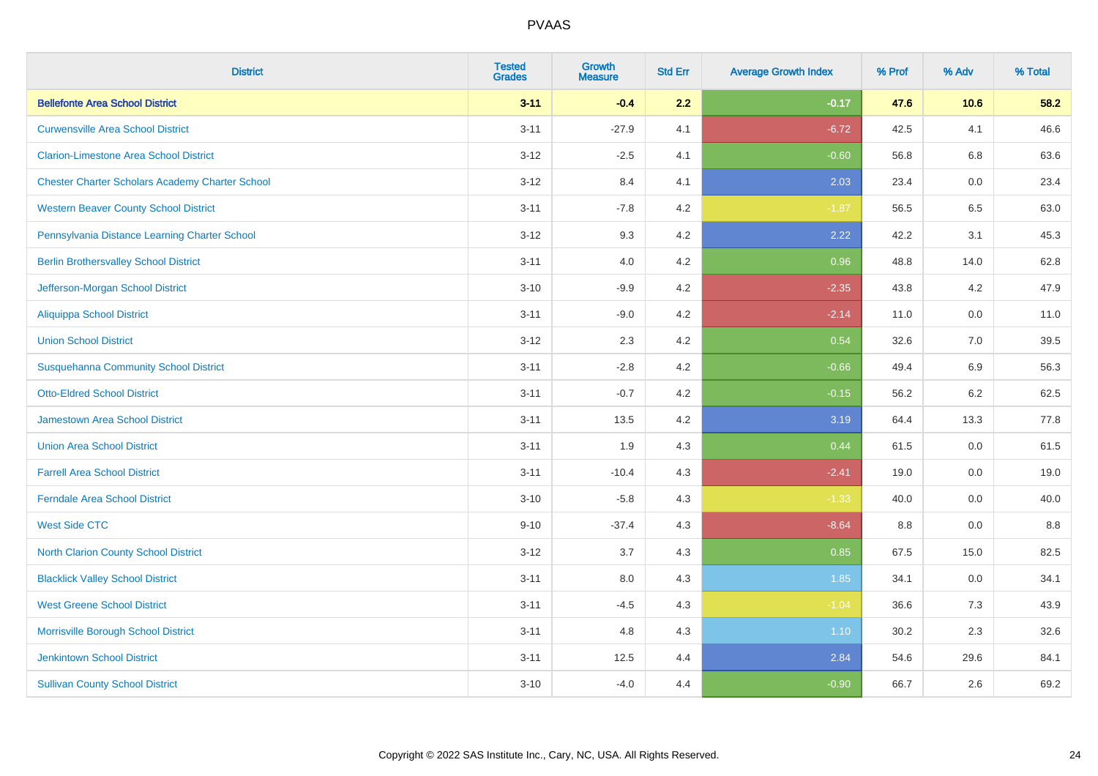| <b>District</b>                                        | <b>Tested</b><br><b>Grades</b> | <b>Growth</b><br><b>Measure</b> | <b>Std Err</b> | <b>Average Growth Index</b> | % Prof | % Adv | % Total |
|--------------------------------------------------------|--------------------------------|---------------------------------|----------------|-----------------------------|--------|-------|---------|
| <b>Bellefonte Area School District</b>                 | $3 - 11$                       | $-0.4$                          | 2.2            | $-0.17$                     | 47.6   | 10.6  | 58.2    |
| <b>Curwensville Area School District</b>               | $3 - 11$                       | $-27.9$                         | 4.1            | $-6.72$                     | 42.5   | 4.1   | 46.6    |
| <b>Clarion-Limestone Area School District</b>          | $3 - 12$                       | $-2.5$                          | 4.1            | $-0.60$                     | 56.8   | 6.8   | 63.6    |
| <b>Chester Charter Scholars Academy Charter School</b> | $3 - 12$                       | 8.4                             | 4.1            | 2.03                        | 23.4   | 0.0   | 23.4    |
| <b>Western Beaver County School District</b>           | $3 - 11$                       | $-7.8$                          | 4.2            | $-1.87$                     | 56.5   | 6.5   | 63.0    |
| Pennsylvania Distance Learning Charter School          | $3 - 12$                       | 9.3                             | 4.2            | 2.22                        | 42.2   | 3.1   | 45.3    |
| <b>Berlin Brothersvalley School District</b>           | $3 - 11$                       | 4.0                             | 4.2            | 0.96                        | 48.8   | 14.0  | 62.8    |
| Jefferson-Morgan School District                       | $3 - 10$                       | $-9.9$                          | 4.2            | $-2.35$                     | 43.8   | 4.2   | 47.9    |
| <b>Aliquippa School District</b>                       | $3 - 11$                       | $-9.0$                          | 4.2            | $-2.14$                     | 11.0   | 0.0   | 11.0    |
| <b>Union School District</b>                           | $3 - 12$                       | 2.3                             | 4.2            | 0.54                        | 32.6   | 7.0   | 39.5    |
| <b>Susquehanna Community School District</b>           | $3 - 11$                       | $-2.8$                          | 4.2            | $-0.66$                     | 49.4   | 6.9   | 56.3    |
| <b>Otto-Eldred School District</b>                     | $3 - 11$                       | $-0.7$                          | 4.2            | $-0.15$                     | 56.2   | 6.2   | 62.5    |
| <b>Jamestown Area School District</b>                  | $3 - 11$                       | 13.5                            | 4.2            | 3.19                        | 64.4   | 13.3  | 77.8    |
| <b>Union Area School District</b>                      | $3 - 11$                       | 1.9                             | 4.3            | 0.44                        | 61.5   | 0.0   | 61.5    |
| <b>Farrell Area School District</b>                    | $3 - 11$                       | $-10.4$                         | 4.3            | $-2.41$                     | 19.0   | 0.0   | 19.0    |
| <b>Ferndale Area School District</b>                   | $3 - 10$                       | $-5.8$                          | 4.3            | $-1.33$                     | 40.0   | 0.0   | 40.0    |
| <b>West Side CTC</b>                                   | $9 - 10$                       | $-37.4$                         | 4.3            | $-8.64$                     | 8.8    | 0.0   | 8.8     |
| <b>North Clarion County School District</b>            | $3 - 12$                       | 3.7                             | 4.3            | 0.85                        | 67.5   | 15.0  | 82.5    |
| <b>Blacklick Valley School District</b>                | $3 - 11$                       | $8.0\,$                         | 4.3            | 1.85                        | 34.1   | 0.0   | 34.1    |
| <b>West Greene School District</b>                     | $3 - 11$                       | $-4.5$                          | 4.3            | $-1.04$                     | 36.6   | 7.3   | 43.9    |
| Morrisville Borough School District                    | $3 - 11$                       | 4.8                             | 4.3            | 1.10                        | 30.2   | 2.3   | 32.6    |
| <b>Jenkintown School District</b>                      | $3 - 11$                       | 12.5                            | 4.4            | 2.84                        | 54.6   | 29.6  | 84.1    |
| <b>Sullivan County School District</b>                 | $3 - 10$                       | $-4.0$                          | 4.4            | $-0.90$                     | 66.7   | 2.6   | 69.2    |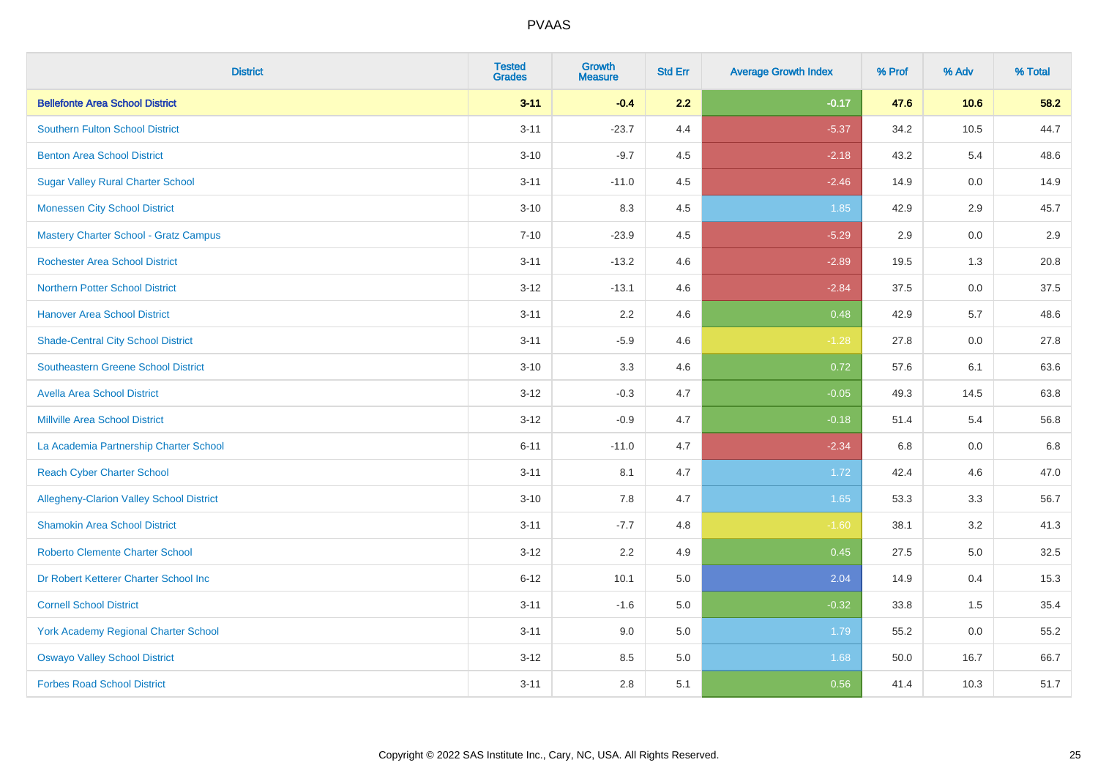| <b>District</b>                                 | <b>Tested</b><br><b>Grades</b> | <b>Growth</b><br><b>Measure</b> | <b>Std Err</b> | <b>Average Growth Index</b> | % Prof | % Adv   | % Total |
|-------------------------------------------------|--------------------------------|---------------------------------|----------------|-----------------------------|--------|---------|---------|
| <b>Bellefonte Area School District</b>          | $3 - 11$                       | $-0.4$                          | 2.2            | $-0.17$                     | 47.6   | 10.6    | 58.2    |
| <b>Southern Fulton School District</b>          | $3 - 11$                       | $-23.7$                         | 4.4            | $-5.37$                     | 34.2   | 10.5    | 44.7    |
| <b>Benton Area School District</b>              | $3 - 10$                       | $-9.7$                          | 4.5            | $-2.18$                     | 43.2   | 5.4     | 48.6    |
| <b>Sugar Valley Rural Charter School</b>        | $3 - 11$                       | $-11.0$                         | 4.5            | $-2.46$                     | 14.9   | $0.0\,$ | 14.9    |
| <b>Monessen City School District</b>            | $3 - 10$                       | 8.3                             | 4.5            | 1.85                        | 42.9   | 2.9     | 45.7    |
| <b>Mastery Charter School - Gratz Campus</b>    | $7 - 10$                       | $-23.9$                         | 4.5            | $-5.29$                     | 2.9    | 0.0     | 2.9     |
| <b>Rochester Area School District</b>           | $3 - 11$                       | $-13.2$                         | 4.6            | $-2.89$                     | 19.5   | 1.3     | 20.8    |
| <b>Northern Potter School District</b>          | $3 - 12$                       | $-13.1$                         | 4.6            | $-2.84$                     | 37.5   | 0.0     | 37.5    |
| <b>Hanover Area School District</b>             | $3 - 11$                       | 2.2                             | 4.6            | 0.48                        | 42.9   | 5.7     | 48.6    |
| <b>Shade-Central City School District</b>       | $3 - 11$                       | $-5.9$                          | 4.6            | $-1.28$                     | 27.8   | 0.0     | 27.8    |
| <b>Southeastern Greene School District</b>      | $3 - 10$                       | 3.3                             | 4.6            | 0.72                        | 57.6   | 6.1     | 63.6    |
| <b>Avella Area School District</b>              | $3 - 12$                       | $-0.3$                          | 4.7            | $-0.05$                     | 49.3   | 14.5    | 63.8    |
| <b>Millville Area School District</b>           | $3 - 12$                       | $-0.9$                          | 4.7            | $-0.18$                     | 51.4   | 5.4     | 56.8    |
| La Academia Partnership Charter School          | $6 - 11$                       | $-11.0$                         | 4.7            | $-2.34$                     | 6.8    | 0.0     | 6.8     |
| <b>Reach Cyber Charter School</b>               | $3 - 11$                       | 8.1                             | 4.7            | 1.72                        | 42.4   | 4.6     | 47.0    |
| <b>Allegheny-Clarion Valley School District</b> | $3 - 10$                       | 7.8                             | 4.7            | 1.65                        | 53.3   | 3.3     | 56.7    |
| <b>Shamokin Area School District</b>            | $3 - 11$                       | $-7.7$                          | 4.8            | $-1.60$                     | 38.1   | 3.2     | 41.3    |
| <b>Roberto Clemente Charter School</b>          | $3 - 12$                       | 2.2                             | 4.9            | 0.45                        | 27.5   | 5.0     | 32.5    |
| Dr Robert Ketterer Charter School Inc           | $6 - 12$                       | 10.1                            | 5.0            | 2.04                        | 14.9   | 0.4     | 15.3    |
| <b>Cornell School District</b>                  | $3 - 11$                       | $-1.6$                          | 5.0            | $-0.32$                     | 33.8   | 1.5     | 35.4    |
| York Academy Regional Charter School            | $3 - 11$                       | 9.0                             | 5.0            | 1.79                        | 55.2   | 0.0     | 55.2    |
| <b>Oswayo Valley School District</b>            | $3 - 12$                       | 8.5                             | 5.0            | 1.68                        | 50.0   | 16.7    | 66.7    |
| <b>Forbes Road School District</b>              | $3 - 11$                       | 2.8                             | 5.1            | 0.56                        | 41.4   | 10.3    | 51.7    |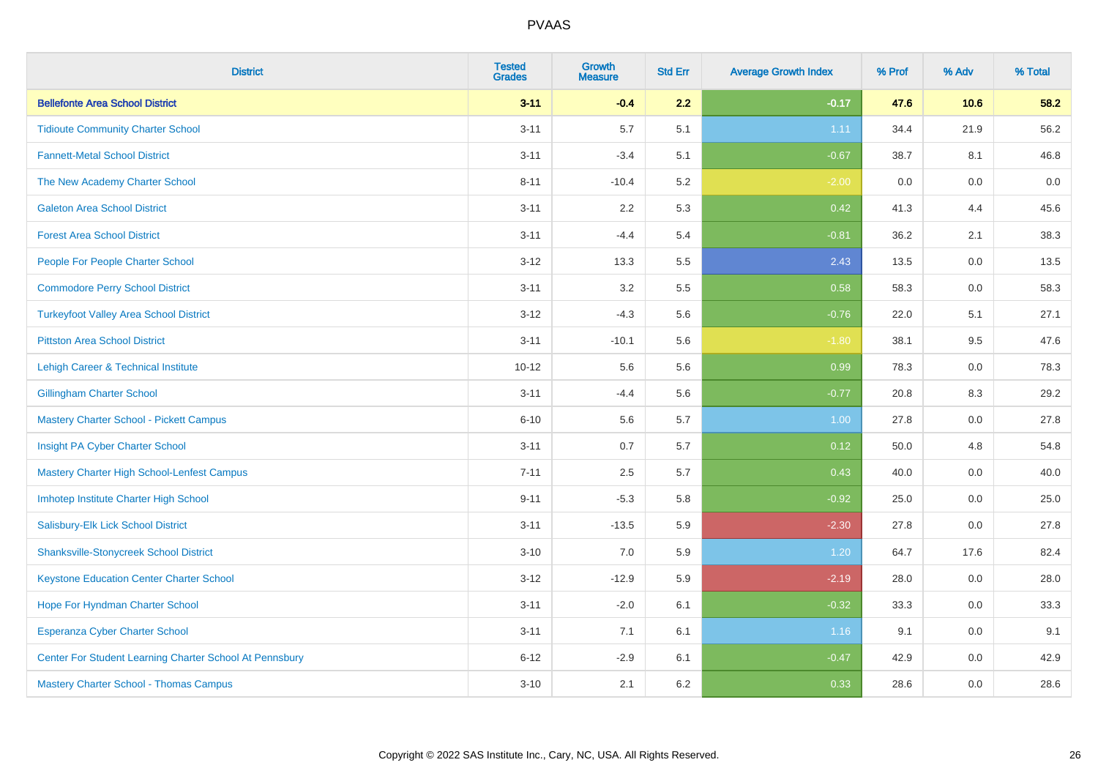| <b>District</b>                                         | <b>Tested</b><br><b>Grades</b> | <b>Growth</b><br><b>Measure</b> | <b>Std Err</b> | <b>Average Growth Index</b> | % Prof | % Adv   | % Total |
|---------------------------------------------------------|--------------------------------|---------------------------------|----------------|-----------------------------|--------|---------|---------|
| <b>Bellefonte Area School District</b>                  | $3 - 11$                       | $-0.4$                          | 2.2            | $-0.17$                     | 47.6   | 10.6    | 58.2    |
| <b>Tidioute Community Charter School</b>                | $3 - 11$                       | 5.7                             | 5.1            | 1.11                        | 34.4   | 21.9    | 56.2    |
| <b>Fannett-Metal School District</b>                    | $3 - 11$                       | $-3.4$                          | 5.1            | $-0.67$                     | 38.7   | 8.1     | 46.8    |
| The New Academy Charter School                          | $8 - 11$                       | $-10.4$                         | 5.2            | $-2.00$                     | 0.0    | $0.0\,$ | $0.0\,$ |
| <b>Galeton Area School District</b>                     | $3 - 11$                       | 2.2                             | 5.3            | 0.42                        | 41.3   | 4.4     | 45.6    |
| <b>Forest Area School District</b>                      | $3 - 11$                       | $-4.4$                          | 5.4            | $-0.81$                     | 36.2   | 2.1     | 38.3    |
| People For People Charter School                        | $3 - 12$                       | 13.3                            | 5.5            | 2.43                        | 13.5   | 0.0     | 13.5    |
| <b>Commodore Perry School District</b>                  | $3 - 11$                       | 3.2                             | 5.5            | 0.58                        | 58.3   | 0.0     | 58.3    |
| <b>Turkeyfoot Valley Area School District</b>           | $3 - 12$                       | $-4.3$                          | 5.6            | $-0.76$                     | 22.0   | 5.1     | 27.1    |
| <b>Pittston Area School District</b>                    | $3 - 11$                       | $-10.1$                         | 5.6            | $-1.80$                     | 38.1   | 9.5     | 47.6    |
| Lehigh Career & Technical Institute                     | $10 - 12$                      | 5.6                             | 5.6            | 0.99                        | 78.3   | 0.0     | 78.3    |
| <b>Gillingham Charter School</b>                        | $3 - 11$                       | $-4.4$                          | 5.6            | $-0.77$                     | 20.8   | 8.3     | 29.2    |
| <b>Mastery Charter School - Pickett Campus</b>          | $6 - 10$                       | 5.6                             | 5.7            | 1.00                        | 27.8   | 0.0     | 27.8    |
| Insight PA Cyber Charter School                         | $3 - 11$                       | 0.7                             | 5.7            | 0.12                        | 50.0   | 4.8     | 54.8    |
| Mastery Charter High School-Lenfest Campus              | $7 - 11$                       | 2.5                             | 5.7            | 0.43                        | 40.0   | 0.0     | 40.0    |
| Imhotep Institute Charter High School                   | $9 - 11$                       | $-5.3$                          | 5.8            | $-0.92$                     | 25.0   | 0.0     | 25.0    |
| Salisbury-Elk Lick School District                      | $3 - 11$                       | $-13.5$                         | 5.9            | $-2.30$                     | 27.8   | 0.0     | 27.8    |
| <b>Shanksville-Stonycreek School District</b>           | $3 - 10$                       | 7.0                             | 5.9            | 1.20                        | 64.7   | 17.6    | 82.4    |
| <b>Keystone Education Center Charter School</b>         | $3 - 12$                       | $-12.9$                         | 5.9            | $-2.19$                     | 28.0   | 0.0     | 28.0    |
| Hope For Hyndman Charter School                         | $3 - 11$                       | $-2.0$                          | 6.1            | $-0.32$                     | 33.3   | 0.0     | 33.3    |
| Esperanza Cyber Charter School                          | $3 - 11$                       | 7.1                             | 6.1            | 1.16                        | 9.1    | 0.0     | 9.1     |
| Center For Student Learning Charter School At Pennsbury | $6 - 12$                       | $-2.9$                          | 6.1            | $-0.47$                     | 42.9   | 0.0     | 42.9    |
| <b>Mastery Charter School - Thomas Campus</b>           | $3 - 10$                       | 2.1                             | 6.2            | 0.33                        | 28.6   | 0.0     | 28.6    |